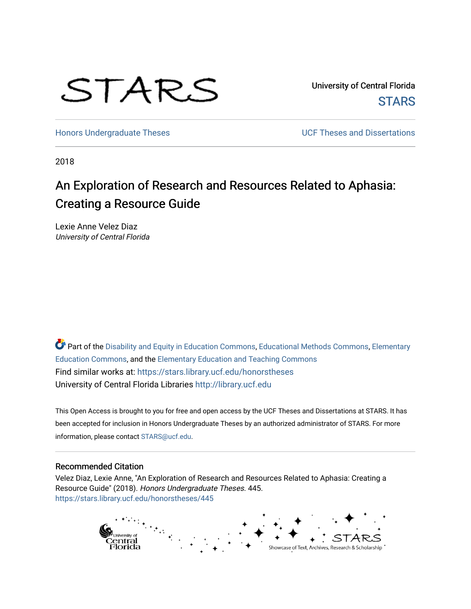# STARS

University of Central Florida **STARS** 

[Honors Undergraduate Theses](https://stars.library.ucf.edu/honorstheses) **Exercise 2018** UCF Theses and Dissertations

2018

# An Exploration of Research and Resources Related to Aphasia: Creating a Resource Guide

Lexie Anne Velez Diaz University of Central Florida

Part of the [Disability and Equity in Education Commons](http://network.bepress.com/hgg/discipline/1040?utm_source=stars.library.ucf.edu%2Fhonorstheses%2F445&utm_medium=PDF&utm_campaign=PDFCoverPages), [Educational Methods Commons](http://network.bepress.com/hgg/discipline/1227?utm_source=stars.library.ucf.edu%2Fhonorstheses%2F445&utm_medium=PDF&utm_campaign=PDFCoverPages), Elementary [Education Commons,](http://network.bepress.com/hgg/discipline/1378?utm_source=stars.library.ucf.edu%2Fhonorstheses%2F445&utm_medium=PDF&utm_campaign=PDFCoverPages) and the [Elementary Education and Teaching Commons](http://network.bepress.com/hgg/discipline/805?utm_source=stars.library.ucf.edu%2Fhonorstheses%2F445&utm_medium=PDF&utm_campaign=PDFCoverPages) Find similar works at: <https://stars.library.ucf.edu/honorstheses> University of Central Florida Libraries [http://library.ucf.edu](http://library.ucf.edu/) 

This Open Access is brought to you for free and open access by the UCF Theses and Dissertations at STARS. It has been accepted for inclusion in Honors Undergraduate Theses by an authorized administrator of STARS. For more information, please contact [STARS@ucf.edu.](mailto:STARS@ucf.edu)

#### Recommended Citation

Velez Diaz, Lexie Anne, "An Exploration of Research and Resources Related to Aphasia: Creating a Resource Guide" (2018). Honors Undergraduate Theses. 445. [https://stars.library.ucf.edu/honorstheses/445](https://stars.library.ucf.edu/honorstheses/445?utm_source=stars.library.ucf.edu%2Fhonorstheses%2F445&utm_medium=PDF&utm_campaign=PDFCoverPages) 

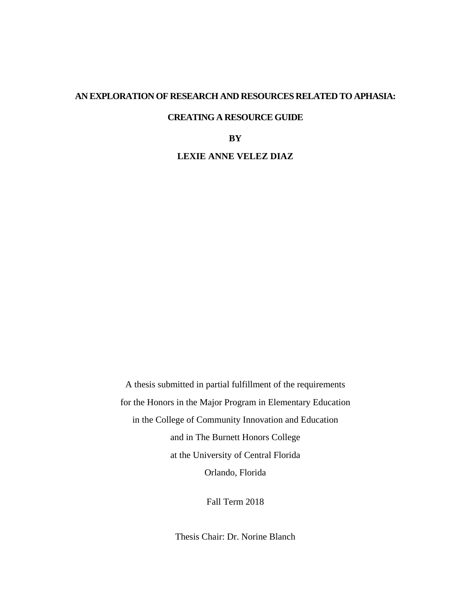#### **AN EXPLORATION OF RESEARCH AND RESOURCES RELATED TO APHASIA:**

# **CREATING A RESOURCE GUIDE**

#### **BY**

## **LEXIE ANNE VELEZ DIAZ**

A thesis submitted in partial fulfillment of the requirements for the Honors in the Major Program in Elementary Education in the College of Community Innovation and Education and in The Burnett Honors College at the University of Central Florida Orlando, Florida

Fall Term 2018

Thesis Chair: Dr. Norine Blanch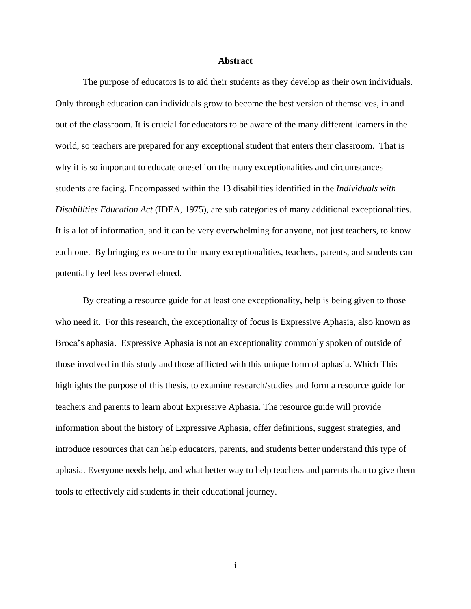#### **Abstract**

<span id="page-2-0"></span>The purpose of educators is to aid their students as they develop as their own individuals. Only through education can individuals grow to become the best version of themselves, in and out of the classroom. It is crucial for educators to be aware of the many different learners in the world, so teachers are prepared for any exceptional student that enters their classroom. That is why it is so important to educate oneself on the many exceptionalities and circumstances students are facing. Encompassed within the 13 disabilities identified in the *Individuals with Disabilities Education Act* (IDEA, 1975), are sub categories of many additional exceptionalities. It is a lot of information, and it can be very overwhelming for anyone, not just teachers, to know each one. By bringing exposure to the many exceptionalities, teachers, parents, and students can potentially feel less overwhelmed.

By creating a resource guide for at least one exceptionality, help is being given to those who need it. For this research, the exceptionality of focus is Expressive Aphasia, also known as Broca's aphasia. Expressive Aphasia is not an exceptionality commonly spoken of outside of those involved in this study and those afflicted with this unique form of aphasia. Which This highlights the purpose of this thesis, to examine research/studies and form a resource guide for teachers and parents to learn about Expressive Aphasia. The resource guide will provide information about the history of Expressive Aphasia, offer definitions, suggest strategies, and introduce resources that can help educators, parents, and students better understand this type of aphasia. Everyone needs help, and what better way to help teachers and parents than to give them tools to effectively aid students in their educational journey.

i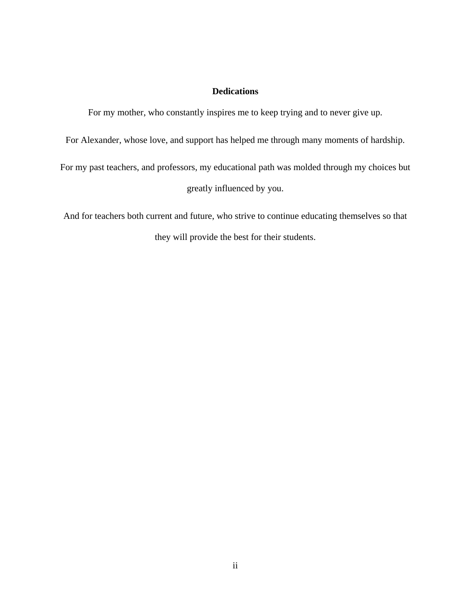# **Dedications**

<span id="page-3-0"></span>For my mother, who constantly inspires me to keep trying and to never give up.

For Alexander, whose love, and support has helped me through many moments of hardship.

For my past teachers, and professors, my educational path was molded through my choices but greatly influenced by you.

And for teachers both current and future, who strive to continue educating themselves so that they will provide the best for their students.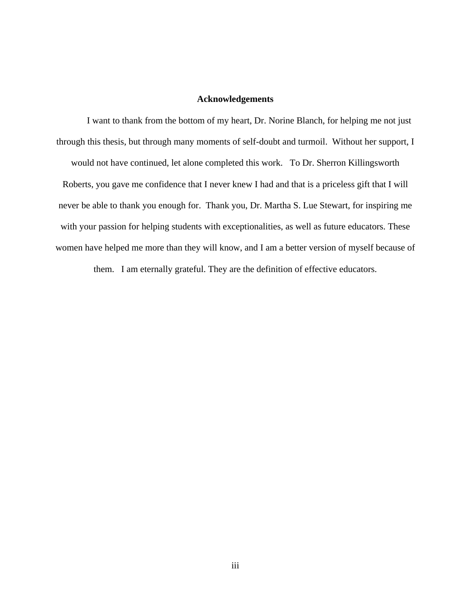## **Acknowledgements**

<span id="page-4-0"></span>I want to thank from the bottom of my heart, Dr. Norine Blanch, for helping me not just through this thesis, but through many moments of self-doubt and turmoil. Without her support, I would not have continued, let alone completed this work. To Dr. Sherron Killingsworth Roberts, you gave me confidence that I never knew I had and that is a priceless gift that I will never be able to thank you enough for. Thank you, Dr. Martha S. Lue Stewart, for inspiring me with your passion for helping students with exceptionalities, as well as future educators. These women have helped me more than they will know, and I am a better version of myself because of

them. I am eternally grateful. They are the definition of effective educators.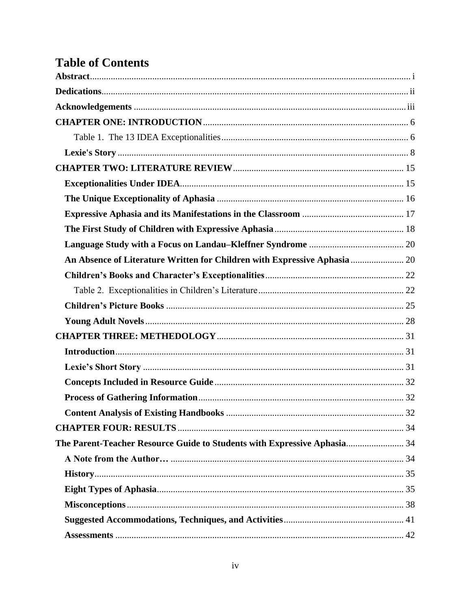# **Table of Contents**

| An Absence of Literature Written for Children with Expressive Aphasia  20 |  |
|---------------------------------------------------------------------------|--|
|                                                                           |  |
|                                                                           |  |
|                                                                           |  |
|                                                                           |  |
|                                                                           |  |
|                                                                           |  |
|                                                                           |  |
|                                                                           |  |
|                                                                           |  |
|                                                                           |  |
|                                                                           |  |
| The Parent-Teacher Resource Guide to Students with Expressive Aphasia 34  |  |
|                                                                           |  |
|                                                                           |  |
|                                                                           |  |
|                                                                           |  |
|                                                                           |  |
|                                                                           |  |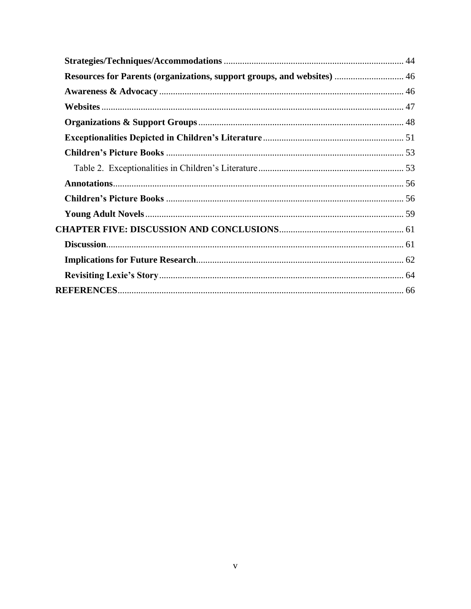| Resources for Parents (organizations, support groups, and websites)  46 |  |
|-------------------------------------------------------------------------|--|
|                                                                         |  |
|                                                                         |  |
|                                                                         |  |
|                                                                         |  |
|                                                                         |  |
|                                                                         |  |
|                                                                         |  |
|                                                                         |  |
|                                                                         |  |
|                                                                         |  |
|                                                                         |  |
|                                                                         |  |
|                                                                         |  |
|                                                                         |  |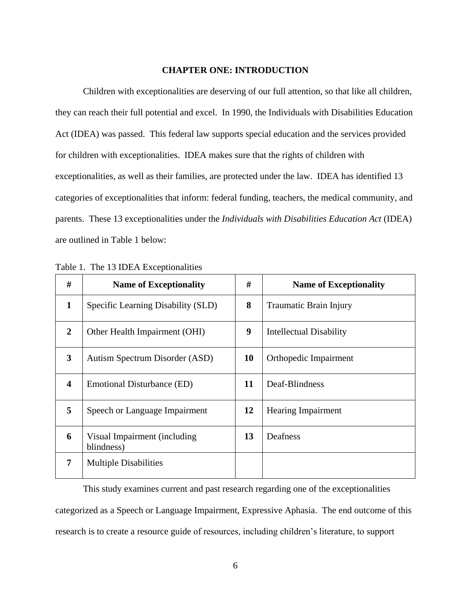#### **CHAPTER ONE: INTRODUCTION**

<span id="page-7-0"></span>Children with exceptionalities are deserving of our full attention, so that like all children, they can reach their full potential and excel. In 1990, the Individuals with Disabilities Education Act (IDEA) was passed. This federal law supports special education and the services provided for children with exceptionalities. IDEA makes sure that the rights of children with exceptionalities, as well as their families, are protected under the law. IDEA has identified 13 categories of exceptionalities that inform: federal funding, teachers, the medical community, and parents. These 13 exceptionalities under the *Individuals with Disabilities Education Act* (IDEA) are outlined in Table 1 below:

| #                       | <b>Name of Exceptionality</b>               | #  | <b>Name of Exceptionality</b> |
|-------------------------|---------------------------------------------|----|-------------------------------|
| $\mathbf{1}$            | Specific Learning Disability (SLD)          | 8  | <b>Traumatic Brain Injury</b> |
| $\overline{2}$          | Other Health Impairment (OHI)               | 9  | Intellectual Disability       |
| 3                       | Autism Spectrum Disorder (ASD)              | 10 | Orthopedic Impairment         |
| $\overline{\mathbf{4}}$ | Emotional Disturbance (ED)                  | 11 | Deaf-Blindness                |
| 5                       | Speech or Language Impairment               | 12 | <b>Hearing Impairment</b>     |
| 6                       | Visual Impairment (including)<br>blindness) | 13 | Deafness                      |
| 7                       | <b>Multiple Disabilities</b>                |    |                               |

<span id="page-7-1"></span>Table 1. The 13 IDEA Exceptionalities

This study examines current and past research regarding one of the exceptionalities categorized as a Speech or Language Impairment, Expressive Aphasia. The end outcome of this research is to create a resource guide of resources, including children's literature, to support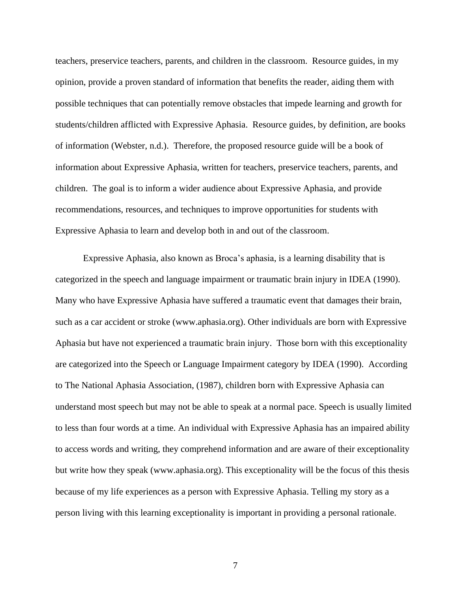teachers, preservice teachers, parents, and children in the classroom. Resource guides, in my opinion, provide a proven standard of information that benefits the reader, aiding them with possible techniques that can potentially remove obstacles that impede learning and growth for students/children afflicted with Expressive Aphasia. Resource guides, by definition, are books of information (Webster, n.d.). Therefore, the proposed resource guide will be a book of information about Expressive Aphasia, written for teachers, preservice teachers, parents, and children. The goal is to inform a wider audience about Expressive Aphasia, and provide recommendations, resources, and techniques to improve opportunities for students with Expressive Aphasia to learn and develop both in and out of the classroom.

Expressive Aphasia, also known as Broca's aphasia, is a learning disability that is categorized in the speech and language impairment or traumatic brain injury in IDEA (1990). Many who have Expressive Aphasia have suffered a traumatic event that damages their brain, such as a car accident or stroke (www.aphasia.org). Other individuals are born with Expressive Aphasia but have not experienced a traumatic brain injury. Those born with this exceptionality are categorized into the Speech or Language Impairment category by IDEA (1990). According to The National Aphasia Association, (1987), children born with Expressive Aphasia can understand most speech but may not be able to speak at a normal pace. Speech is usually limited to less than four words at a time. An individual with Expressive Aphasia has an impaired ability to access words and writing, they comprehend information and are aware of their exceptionality but write how they speak (www.aphasia.org). This exceptionality will be the focus of this thesis because of my life experiences as a person with Expressive Aphasia. Telling my story as a person living with this learning exceptionality is important in providing a personal rationale.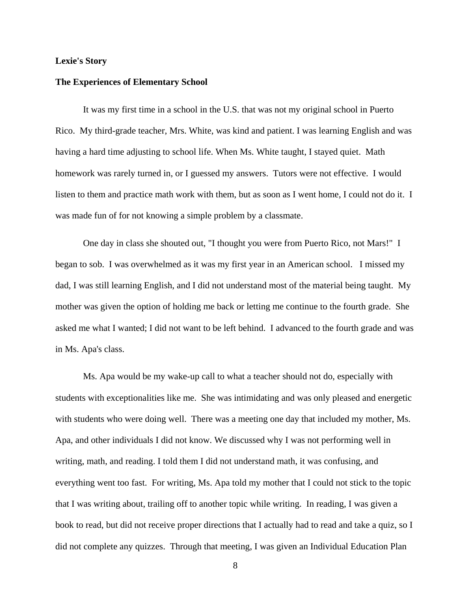#### <span id="page-9-0"></span>**Lexie's Story**

#### **The Experiences of Elementary School**

It was my first time in a school in the U.S. that was not my original school in Puerto Rico. My third-grade teacher, Mrs. White, was kind and patient. I was learning English and was having a hard time adjusting to school life. When Ms. White taught, I stayed quiet. Math homework was rarely turned in, or I guessed my answers. Tutors were not effective. I would listen to them and practice math work with them, but as soon as I went home, I could not do it. I was made fun of for not knowing a simple problem by a classmate.

One day in class she shouted out, "I thought you were from Puerto Rico, not Mars!" I began to sob. I was overwhelmed as it was my first year in an American school. I missed my dad, I was still learning English, and I did not understand most of the material being taught. My mother was given the option of holding me back or letting me continue to the fourth grade. She asked me what I wanted; I did not want to be left behind. I advanced to the fourth grade and was in Ms. Apa's class.

Ms. Apa would be my wake-up call to what a teacher should not do, especially with students with exceptionalities like me. She was intimidating and was only pleased and energetic with students who were doing well. There was a meeting one day that included my mother, Ms. Apa, and other individuals I did not know. We discussed why I was not performing well in writing, math, and reading. I told them I did not understand math, it was confusing, and everything went too fast. For writing, Ms. Apa told my mother that I could not stick to the topic that I was writing about, trailing off to another topic while writing. In reading, I was given a book to read, but did not receive proper directions that I actually had to read and take a quiz, so I did not complete any quizzes. Through that meeting, I was given an Individual Education Plan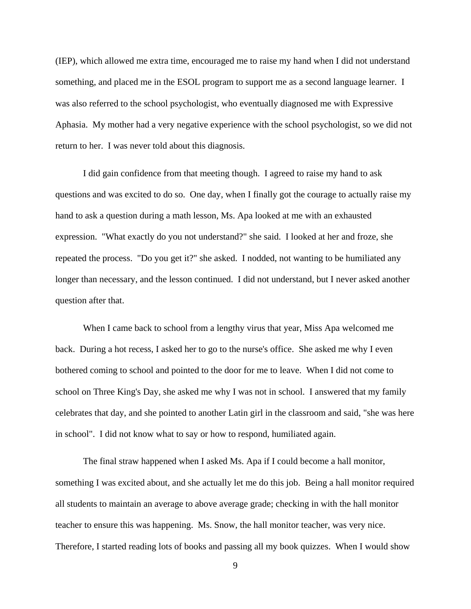(IEP), which allowed me extra time, encouraged me to raise my hand when I did not understand something, and placed me in the ESOL program to support me as a second language learner. I was also referred to the school psychologist, who eventually diagnosed me with Expressive Aphasia. My mother had a very negative experience with the school psychologist, so we did not return to her. I was never told about this diagnosis.

I did gain confidence from that meeting though. I agreed to raise my hand to ask questions and was excited to do so. One day, when I finally got the courage to actually raise my hand to ask a question during a math lesson, Ms. Apa looked at me with an exhausted expression. "What exactly do you not understand?" she said. I looked at her and froze, she repeated the process. "Do you get it?" she asked. I nodded, not wanting to be humiliated any longer than necessary, and the lesson continued. I did not understand, but I never asked another question after that.

When I came back to school from a lengthy virus that year, Miss Apa welcomed me back. During a hot recess, I asked her to go to the nurse's office. She asked me why I even bothered coming to school and pointed to the door for me to leave. When I did not come to school on Three King's Day, she asked me why I was not in school. I answered that my family celebrates that day, and she pointed to another Latin girl in the classroom and said, "she was here in school". I did not know what to say or how to respond, humiliated again.

The final straw happened when I asked Ms. Apa if I could become a hall monitor, something I was excited about, and she actually let me do this job. Being a hall monitor required all students to maintain an average to above average grade; checking in with the hall monitor teacher to ensure this was happening. Ms. Snow, the hall monitor teacher, was very nice. Therefore, I started reading lots of books and passing all my book quizzes. When I would show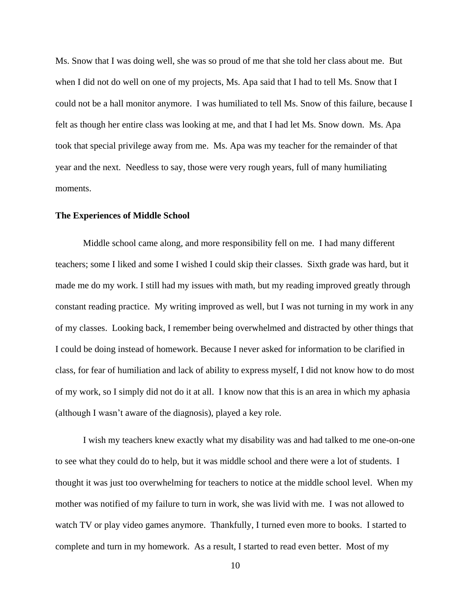Ms. Snow that I was doing well, she was so proud of me that she told her class about me. But when I did not do well on one of my projects, Ms. Apa said that I had to tell Ms. Snow that I could not be a hall monitor anymore. I was humiliated to tell Ms. Snow of this failure, because I felt as though her entire class was looking at me, and that I had let Ms. Snow down. Ms. Apa took that special privilege away from me. Ms. Apa was my teacher for the remainder of that year and the next. Needless to say, those were very rough years, full of many humiliating moments.

#### **The Experiences of Middle School**

Middle school came along, and more responsibility fell on me. I had many different teachers; some I liked and some I wished I could skip their classes. Sixth grade was hard, but it made me do my work. I still had my issues with math, but my reading improved greatly through constant reading practice. My writing improved as well, but I was not turning in my work in any of my classes. Looking back, I remember being overwhelmed and distracted by other things that I could be doing instead of homework. Because I never asked for information to be clarified in class, for fear of humiliation and lack of ability to express myself, I did not know how to do most of my work, so I simply did not do it at all. I know now that this is an area in which my aphasia (although I wasn't aware of the diagnosis), played a key role.

I wish my teachers knew exactly what my disability was and had talked to me one-on-one to see what they could do to help, but it was middle school and there were a lot of students. I thought it was just too overwhelming for teachers to notice at the middle school level. When my mother was notified of my failure to turn in work, she was livid with me. I was not allowed to watch TV or play video games anymore. Thankfully, I turned even more to books. I started to complete and turn in my homework. As a result, I started to read even better. Most of my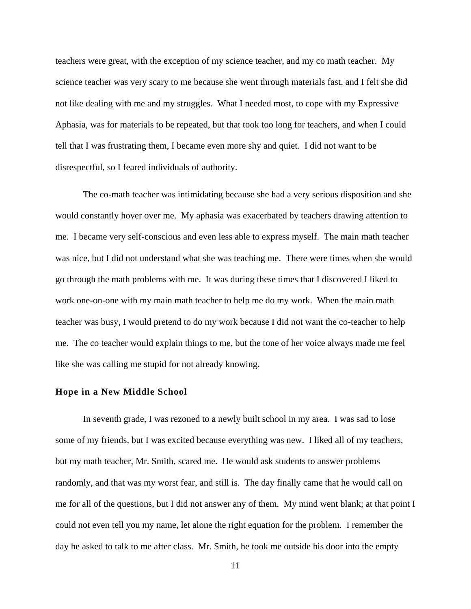teachers were great, with the exception of my science teacher, and my co math teacher. My science teacher was very scary to me because she went through materials fast, and I felt she did not like dealing with me and my struggles. What I needed most, to cope with my Expressive Aphasia, was for materials to be repeated, but that took too long for teachers, and when I could tell that I was frustrating them, I became even more shy and quiet. I did not want to be disrespectful, so I feared individuals of authority.

The co-math teacher was intimidating because she had a very serious disposition and she would constantly hover over me. My aphasia was exacerbated by teachers drawing attention to me. I became very self-conscious and even less able to express myself. The main math teacher was nice, but I did not understand what she was teaching me. There were times when she would go through the math problems with me. It was during these times that I discovered I liked to work one-on-one with my main math teacher to help me do my work. When the main math teacher was busy, I would pretend to do my work because I did not want the co-teacher to help me. The co teacher would explain things to me, but the tone of her voice always made me feel like she was calling me stupid for not already knowing.

#### **Hope in a New Middle School**

In seventh grade, I was rezoned to a newly built school in my area. I was sad to lose some of my friends, but I was excited because everything was new. I liked all of my teachers, but my math teacher, Mr. Smith, scared me. He would ask students to answer problems randomly, and that was my worst fear, and still is. The day finally came that he would call on me for all of the questions, but I did not answer any of them. My mind went blank; at that point I could not even tell you my name, let alone the right equation for the problem. I remember the day he asked to talk to me after class. Mr. Smith, he took me outside his door into the empty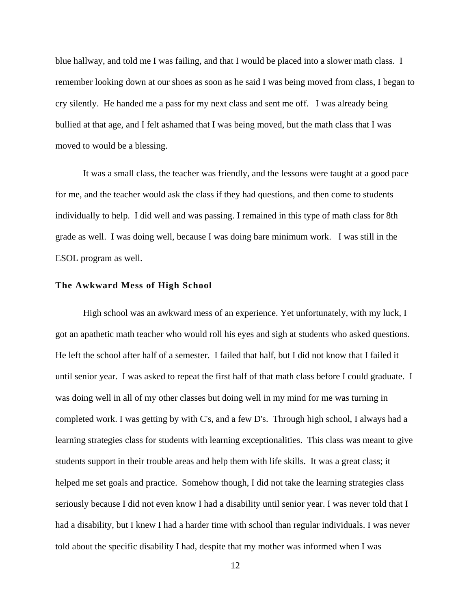blue hallway, and told me I was failing, and that I would be placed into a slower math class. I remember looking down at our shoes as soon as he said I was being moved from class, I began to cry silently. He handed me a pass for my next class and sent me off. I was already being bullied at that age, and I felt ashamed that I was being moved, but the math class that I was moved to would be a blessing.

It was a small class, the teacher was friendly, and the lessons were taught at a good pace for me, and the teacher would ask the class if they had questions, and then come to students individually to help. I did well and was passing. I remained in this type of math class for 8th grade as well. I was doing well, because I was doing bare minimum work. I was still in the ESOL program as well.

#### **The Awkward Mess of High School**

High school was an awkward mess of an experience. Yet unfortunately, with my luck, I got an apathetic math teacher who would roll his eyes and sigh at students who asked questions. He left the school after half of a semester. I failed that half, but I did not know that I failed it until senior year. I was asked to repeat the first half of that math class before I could graduate. I was doing well in all of my other classes but doing well in my mind for me was turning in completed work. I was getting by with C's, and a few D's. Through high school, I always had a learning strategies class for students with learning exceptionalities. This class was meant to give students support in their trouble areas and help them with life skills. It was a great class; it helped me set goals and practice. Somehow though, I did not take the learning strategies class seriously because I did not even know I had a disability until senior year. I was never told that I had a disability, but I knew I had a harder time with school than regular individuals. I was never told about the specific disability I had, despite that my mother was informed when I was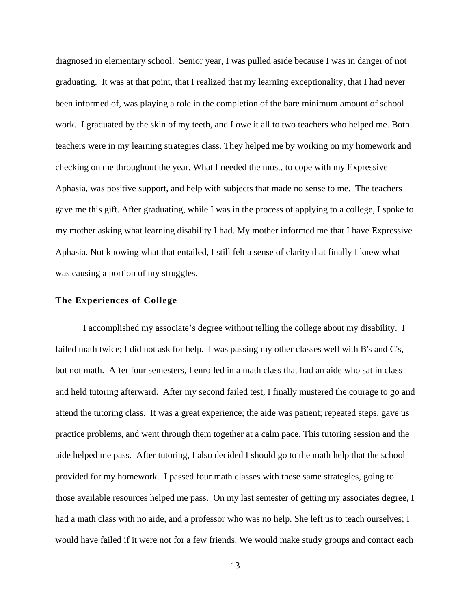diagnosed in elementary school. Senior year, I was pulled aside because I was in danger of not graduating. It was at that point, that I realized that my learning exceptionality, that I had never been informed of, was playing a role in the completion of the bare minimum amount of school work. I graduated by the skin of my teeth, and I owe it all to two teachers who helped me. Both teachers were in my learning strategies class. They helped me by working on my homework and checking on me throughout the year. What I needed the most, to cope with my Expressive Aphasia, was positive support, and help with subjects that made no sense to me. The teachers gave me this gift. After graduating, while I was in the process of applying to a college, I spoke to my mother asking what learning disability I had. My mother informed me that I have Expressive Aphasia. Not knowing what that entailed, I still felt a sense of clarity that finally I knew what was causing a portion of my struggles.

#### **The Experiences of College**

I accomplished my associate's degree without telling the college about my disability. I failed math twice; I did not ask for help. I was passing my other classes well with B's and C's, but not math. After four semesters, I enrolled in a math class that had an aide who sat in class and held tutoring afterward. After my second failed test, I finally mustered the courage to go and attend the tutoring class. It was a great experience; the aide was patient; repeated steps, gave us practice problems, and went through them together at a calm pace. This tutoring session and the aide helped me pass. After tutoring, I also decided I should go to the math help that the school provided for my homework. I passed four math classes with these same strategies, going to those available resources helped me pass. On my last semester of getting my associates degree, I had a math class with no aide, and a professor who was no help. She left us to teach ourselves; I would have failed if it were not for a few friends. We would make study groups and contact each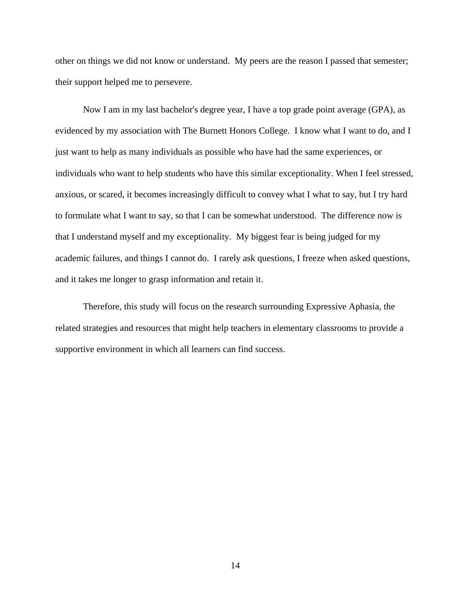other on things we did not know or understand. My peers are the reason I passed that semester; their support helped me to persevere.

Now I am in my last bachelor's degree year, I have a top grade point average (GPA), as evidenced by my association with The Burnett Honors College. I know what I want to do, and I just want to help as many individuals as possible who have had the same experiences, or individuals who want to help students who have this similar exceptionality. When I feel stressed, anxious, or scared, it becomes increasingly difficult to convey what I what to say, but I try hard to formulate what I want to say, so that I can be somewhat understood. The difference now is that I understand myself and my exceptionality. My biggest fear is being judged for my academic failures, and things I cannot do. I rarely ask questions, I freeze when asked questions, and it takes me longer to grasp information and retain it.

Therefore, this study will focus on the research surrounding Expressive Aphasia, the related strategies and resources that might help teachers in elementary classrooms to provide a supportive environment in which all learners can find success.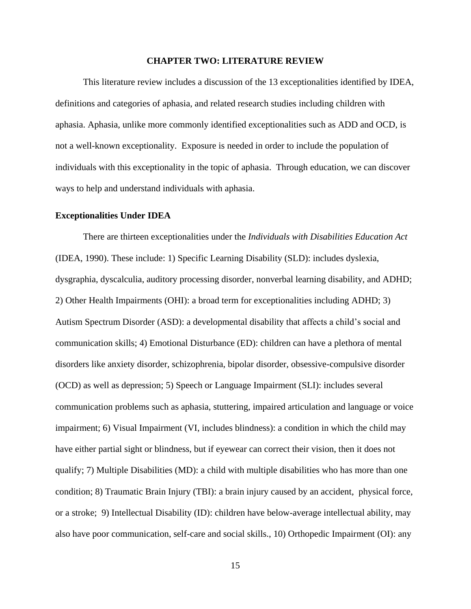#### **CHAPTER TWO: LITERATURE REVIEW**

<span id="page-16-0"></span>This literature review includes a discussion of the 13 exceptionalities identified by IDEA, definitions and categories of aphasia, and related research studies including children with aphasia. Aphasia, unlike more commonly identified exceptionalities such as ADD and OCD, is not a well-known exceptionality. Exposure is needed in order to include the population of individuals with this exceptionality in the topic of aphasia. Through education, we can discover ways to help and understand individuals with aphasia.

#### <span id="page-16-1"></span>**Exceptionalities Under IDEA**

There are thirteen exceptionalities under the *Individuals with Disabilities Education Act* (IDEA, 1990). These include: 1) Specific Learning Disability (SLD): includes dyslexia, dysgraphia, dyscalculia, auditory processing disorder, nonverbal learning disability, and ADHD; 2) Other Health Impairments (OHI): a broad term for exceptionalities including ADHD; 3) Autism Spectrum Disorder (ASD): a developmental disability that affects a child's social and communication skills; 4) Emotional Disturbance (ED): children can have a plethora of mental disorders like anxiety disorder, schizophrenia, bipolar disorder, obsessive-compulsive disorder (OCD) as well as depression; 5) Speech or Language Impairment (SLI): includes several communication problems such as aphasia, stuttering, impaired articulation and language or voice impairment; 6) Visual Impairment (VI, includes blindness): a condition in which the child may have either partial sight or blindness, but if eyewear can correct their vision, then it does not qualify; 7) Multiple Disabilities (MD): a child with multiple disabilities who has more than one condition; 8) Traumatic Brain Injury (TBI): a brain injury caused by an accident, physical force, or a stroke; 9) Intellectual Disability (ID): children have below-average intellectual ability, may also have poor communication, self-care and social skills., 10) Orthopedic Impairment (OI): any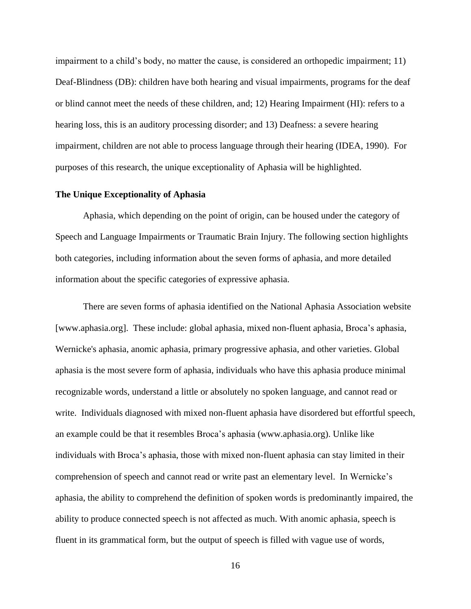impairment to a child's body, no matter the cause, is considered an orthopedic impairment; 11) Deaf-Blindness (DB): children have both hearing and visual impairments, programs for the deaf or blind cannot meet the needs of these children, and; 12) Hearing Impairment (HI): refers to a hearing loss, this is an auditory processing disorder; and 13) Deafness: a severe hearing impairment, children are not able to process language through their hearing (IDEA, 1990). For purposes of this research, the unique exceptionality of Aphasia will be highlighted.

#### <span id="page-17-0"></span>**The Unique Exceptionality of Aphasia**

Aphasia, which depending on the point of origin, can be housed under the category of Speech and Language Impairments or Traumatic Brain Injury. The following section highlights both categories, including information about the seven forms of aphasia, and more detailed information about the specific categories of expressive aphasia.

There are seven forms of aphasia identified on the National Aphasia Association website [www.aphasia.org]. These include: global aphasia, mixed non-fluent aphasia, Broca's aphasia, Wernicke's aphasia, anomic aphasia, primary progressive aphasia, and other varieties. Global aphasia is the most severe form of aphasia, individuals who have this aphasia produce minimal recognizable words, understand a little or absolutely no spoken language, and cannot read or write. Individuals diagnosed with mixed non-fluent aphasia have disordered but effortful speech, an example could be that it resembles Broca's aphasia (www.aphasia.org). Unlike like individuals with Broca's aphasia, those with mixed non-fluent aphasia can stay limited in their comprehension of speech and cannot read or write past an elementary level. In Wernicke's aphasia, the ability to comprehend the definition of spoken words is predominantly impaired, the ability to produce connected speech is not affected as much. With anomic aphasia, speech is fluent in its grammatical form, but the output of speech is filled with vague use of words,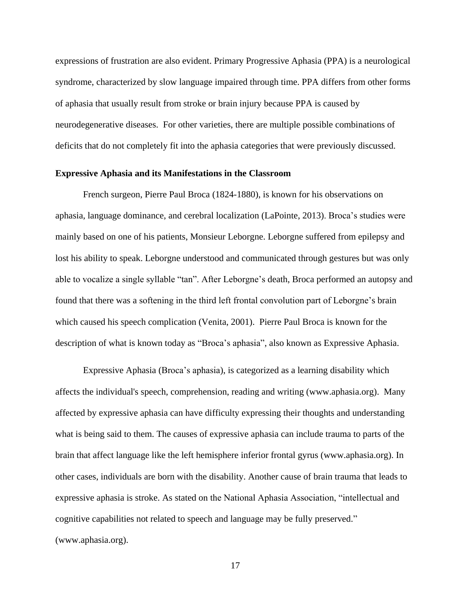expressions of frustration are also evident. Primary Progressive Aphasia (PPA) is a neurological syndrome, characterized by slow language impaired through time. PPA differs from other forms of aphasia that usually result from stroke or brain injury because PPA is caused by neurodegenerative diseases. For other varieties, there are multiple possible combinations of deficits that do not completely fit into the aphasia categories that were previously discussed.

#### <span id="page-18-0"></span>**Expressive Aphasia and its Manifestations in the Classroom**

French surgeon, Pierre Paul Broca (1824-1880), is known for his observations on aphasia, language dominance, and cerebral localization (LaPointe, 2013). Broca's studies were mainly based on one of his patients, Monsieur Leborgne. Leborgne suffered from epilepsy and lost his ability to speak. Leborgne understood and communicated through gestures but was only able to vocalize a single syllable "tan". After Leborgne's death, Broca performed an autopsy and found that there was a softening in the third left frontal convolution part of Leborgne's brain which caused his speech complication (Venita, 2001). Pierre Paul Broca is known for the description of what is known today as "Broca's aphasia", also known as Expressive Aphasia.

Expressive Aphasia (Broca's aphasia), is categorized as a learning disability which affects the individual's speech, comprehension, reading and writing (www.aphasia.org). Many affected by expressive aphasia can have difficulty expressing their thoughts and understanding what is being said to them. The causes of expressive aphasia can include trauma to parts of the brain that affect language like the left hemisphere inferior frontal gyrus (www.aphasia.org). In other cases, individuals are born with the disability. Another cause of brain trauma that leads to expressive aphasia is stroke. As stated on the National Aphasia Association, "intellectual and cognitive capabilities not related to speech and language may be fully preserved." (www.aphasia.org).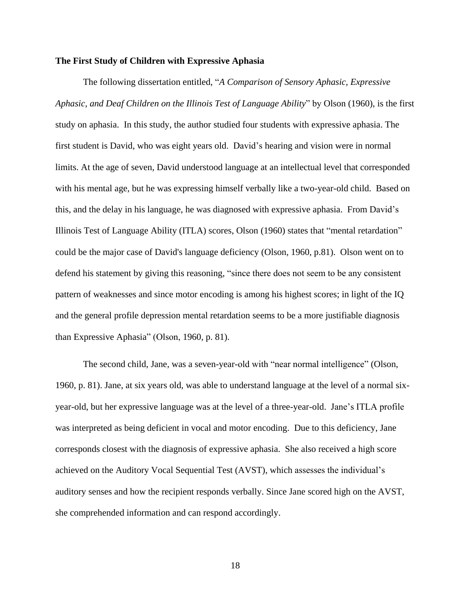#### <span id="page-19-0"></span>**The First Study of Children with Expressive Aphasia**

The following dissertation entitled, "*A Comparison of Sensory Aphasic, Expressive Aphasic, and Deaf Children on the Illinois Test of Language Ability*" by Olson (1960), is the first study on aphasia. In this study, the author studied four students with expressive aphasia. The first student is David, who was eight years old. David's hearing and vision were in normal limits. At the age of seven, David understood language at an intellectual level that corresponded with his mental age, but he was expressing himself verbally like a two-year-old child. Based on this, and the delay in his language, he was diagnosed with expressive aphasia. From David's Illinois Test of Language Ability (ITLA) scores, Olson (1960) states that "mental retardation" could be the major case of David's language deficiency (Olson, 1960, p.81). Olson went on to defend his statement by giving this reasoning, "since there does not seem to be any consistent pattern of weaknesses and since motor encoding is among his highest scores; in light of the IQ and the general profile depression mental retardation seems to be a more justifiable diagnosis than Expressive Aphasia" (Olson, 1960, p. 81).

The second child, Jane, was a seven-year-old with "near normal intelligence" (Olson, 1960, p. 81). Jane, at six years old, was able to understand language at the level of a normal sixyear-old, but her expressive language was at the level of a three-year-old. Jane's ITLA profile was interpreted as being deficient in vocal and motor encoding. Due to this deficiency, Jane corresponds closest with the diagnosis of expressive aphasia. She also received a high score achieved on the Auditory Vocal Sequential Test (AVST), which assesses the individual's auditory senses and how the recipient responds verbally. Since Jane scored high on the AVST, she comprehended information and can respond accordingly.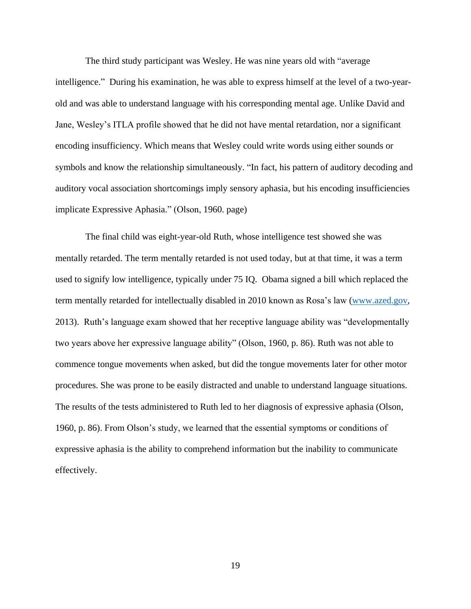The third study participant was Wesley. He was nine years old with "average intelligence." During his examination, he was able to express himself at the level of a two-yearold and was able to understand language with his corresponding mental age. Unlike David and Jane, Wesley's ITLA profile showed that he did not have mental retardation, nor a significant encoding insufficiency. Which means that Wesley could write words using either sounds or symbols and know the relationship simultaneously. "In fact, his pattern of auditory decoding and auditory vocal association shortcomings imply sensory aphasia, but his encoding insufficiencies implicate Expressive Aphasia." (Olson, 1960. page)

 The final child was eight-year-old Ruth, whose intelligence test showed she was mentally retarded. The term mentally retarded is not used today, but at that time, it was a term used to signify low intelligence, typically under 75 IQ. Obama signed a bill which replaced the term mentally retarded for intellectually disabled in 2010 known as Rosa's law [\(www.azed.gov,](http://www.azed.gov/) 2013). Ruth's language exam showed that her receptive language ability was "developmentally two years above her expressive language ability" (Olson, 1960, p. 86). Ruth was not able to commence tongue movements when asked, but did the tongue movements later for other motor procedures. She was prone to be easily distracted and unable to understand language situations. The results of the tests administered to Ruth led to her diagnosis of expressive aphasia (Olson, 1960, p. 86). From Olson's study, we learned that the essential symptoms or conditions of expressive aphasia is the ability to comprehend information but the inability to communicate effectively.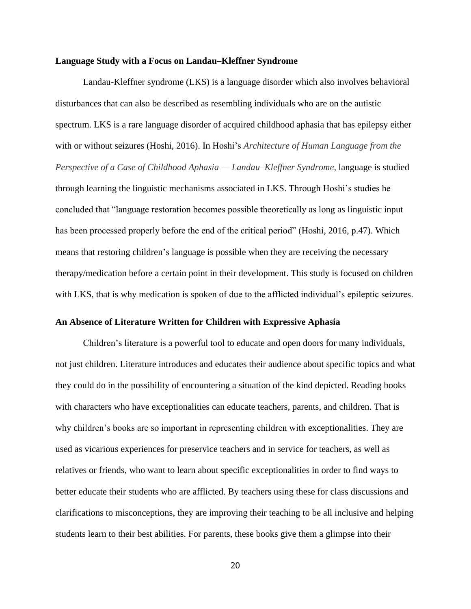#### <span id="page-21-0"></span>**Language Study with a Focus on Landau–Kleffner Syndrome**

Landau-Kleffner syndrome (LKS) is a language disorder which also involves behavioral disturbances that can also be described as resembling individuals who are on the autistic spectrum. LKS is a rare language disorder of acquired childhood aphasia that has epilepsy either with or without seizures (Hoshi, 2016). In Hoshi's *Architecture of Human Language from the Perspective of a Case of Childhood Aphasia — Landau–Kleffner Syndrome,* language is studied through learning the linguistic mechanisms associated in LKS. Through Hoshi's studies he concluded that "language restoration becomes possible theoretically as long as linguistic input has been processed properly before the end of the critical period" (Hoshi, 2016, p.47). Which means that restoring children's language is possible when they are receiving the necessary therapy/medication before a certain point in their development. This study is focused on children with LKS, that is why medication is spoken of due to the afflicted individual's epileptic seizures.

#### <span id="page-21-1"></span>**An Absence of Literature Written for Children with Expressive Aphasia**

Children's literature is a powerful tool to educate and open doors for many individuals, not just children. Literature introduces and educates their audience about specific topics and what they could do in the possibility of encountering a situation of the kind depicted. Reading books with characters who have exceptionalities can educate teachers, parents, and children. That is why children's books are so important in representing children with exceptionalities. They are used as vicarious experiences for preservice teachers and in service for teachers, as well as relatives or friends, who want to learn about specific exceptionalities in order to find ways to better educate their students who are afflicted. By teachers using these for class discussions and clarifications to misconceptions, they are improving their teaching to be all inclusive and helping students learn to their best abilities. For parents, these books give them a glimpse into their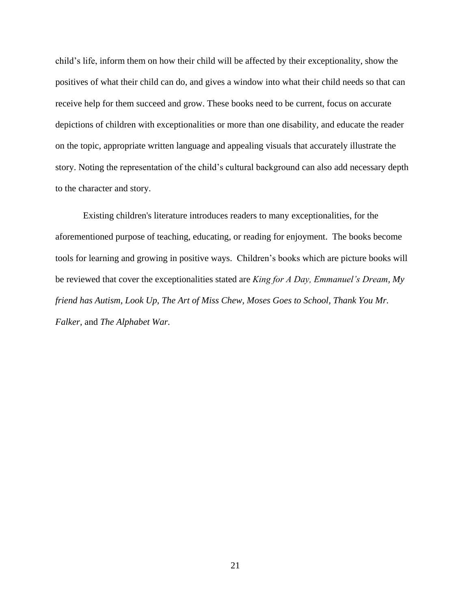child's life, inform them on how their child will be affected by their exceptionality, show the positives of what their child can do, and gives a window into what their child needs so that can receive help for them succeed and grow. These books need to be current, focus on accurate depictions of children with exceptionalities or more than one disability, and educate the reader on the topic, appropriate written language and appealing visuals that accurately illustrate the story. Noting the representation of the child's cultural background can also add necessary depth to the character and story.

Existing children's literature introduces readers to many exceptionalities, for the aforementioned purpose of teaching, educating, or reading for enjoyment. The books become tools for learning and growing in positive ways. Children's books which are picture books will be reviewed that cover the exceptionalities stated are *King for A Day, Emmanuel's Dream, My friend has Autism, Look Up, The Art of Miss Chew, Moses Goes to School, Thank You Mr. Falker*, and *The Alphabet War.*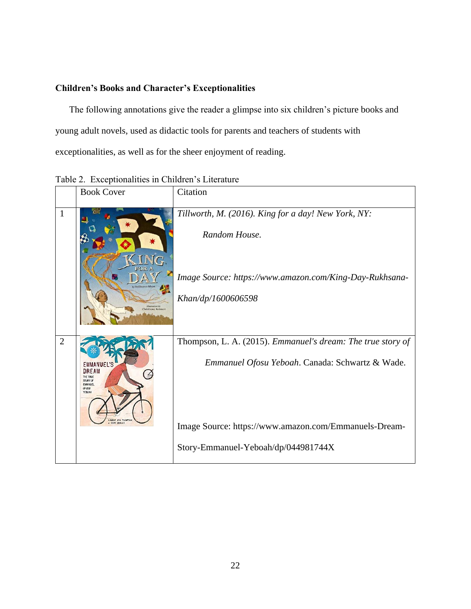# <span id="page-23-0"></span>**Children's Books and Character's Exceptionalities**

The following annotations give the reader a glimpse into six children's picture books and young adult novels, used as didactic tools for parents and teachers of students with exceptionalities, as well as for the sheer enjoyment of reading.

|                | <b>Book Cover</b>                                                                                                  | Citation                                                                                                                        |
|----------------|--------------------------------------------------------------------------------------------------------------------|---------------------------------------------------------------------------------------------------------------------------------|
| $\mathbf{1}$   | FOR A                                                                                                              | Tillworth, M. (2016). King for a day! New York, NY:<br>Random House.<br>Image Source: https://www.amazon.com/King-Day-Rukhsana- |
|                |                                                                                                                    | Khan/dp/1600606598                                                                                                              |
| $\overline{2}$ | EMMANUEL'S<br>DREAM<br>THE TRUE<br>STORY OF<br><b>EMMANUE</b><br>OFOSU<br><b>YFROAH</b><br><b>AURIE ANN THUMPS</b> | Thompson, L. A. (2015). Emmanuel's dream: The true story of<br>Emmanuel Ofosu Yeboah. Canada: Schwartz & Wade.                  |
|                | SEAN QUALLS                                                                                                        | Image Source: https://www.amazon.com/Emmanuels-Dream-<br>Story-Emmanuel-Yeboah/dp/044981744X                                    |

<span id="page-23-1"></span>Table 2. Exceptionalities in Children's Literature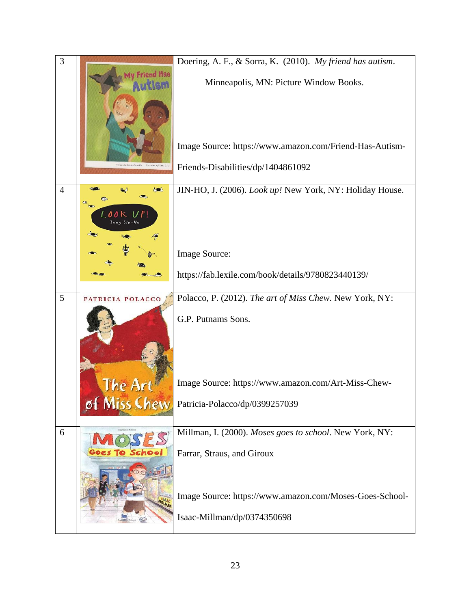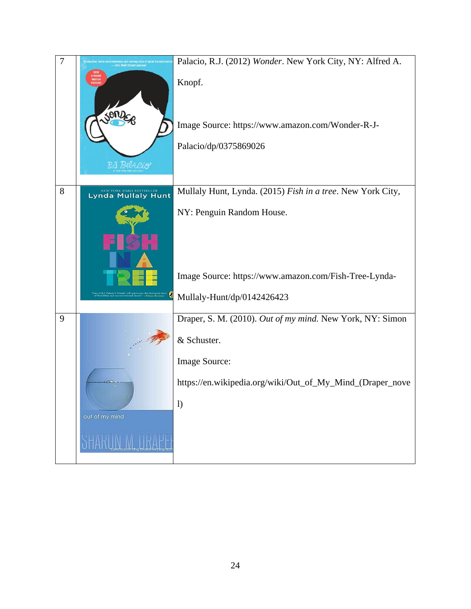| $\overline{7}$ |                           | Palacio, R.J. (2012) Wonder. New York City, NY: Alfred A.<br>Knopf.<br>Image Source: https://www.amazon.com/Wonder-R-J-<br>Palacio/dp/0375869026 |
|----------------|---------------------------|--------------------------------------------------------------------------------------------------------------------------------------------------|
| 8              | <b>Lynda Mullaly Hunt</b> | Mullaly Hunt, Lynda. (2015) Fish in a tree. New York City,                                                                                       |
|                |                           | NY: Penguin Random House.                                                                                                                        |
|                |                           | Image Source: https://www.amazon.com/Fish-Tree-Lynda-                                                                                            |
|                | €                         | Mullaly-Hunt/dp/0142426423                                                                                                                       |
| 9              |                           | Draper, S. M. (2010). Out of my mind. New York, NY: Simon                                                                                        |
|                |                           | & Schuster.                                                                                                                                      |
|                |                           | Image Source:                                                                                                                                    |
|                |                           | https://en.wikipedia.org/wiki/Out_of_My_Mind_(Draper_nove                                                                                        |
|                | out of my mind            | $\mathbf{I}$                                                                                                                                     |
|                |                           |                                                                                                                                                  |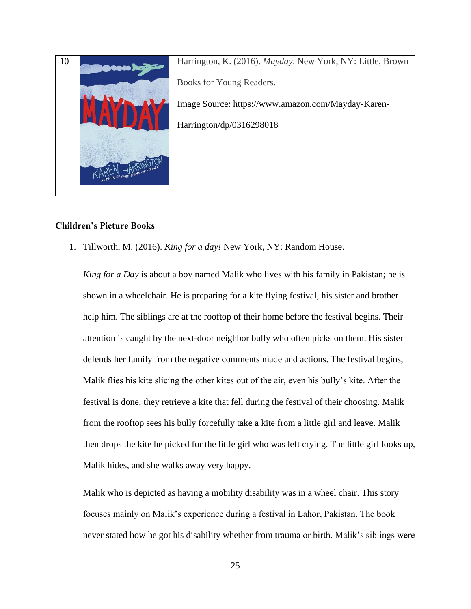

## <span id="page-26-0"></span>**Children's Picture Books**

1. Tillworth, M. (2016). *King for a day!* New York, NY: Random House.

*King for a Day* is about a boy named Malik who lives with his family in Pakistan; he is shown in a wheelchair. He is preparing for a kite flying festival, his sister and brother help him. The siblings are at the rooftop of their home before the festival begins. Their attention is caught by the next-door neighbor bully who often picks on them. His sister defends her family from the negative comments made and actions. The festival begins, Malik flies his kite slicing the other kites out of the air, even his bully's kite. After the festival is done, they retrieve a kite that fell during the festival of their choosing. Malik from the rooftop sees his bully forcefully take a kite from a little girl and leave. Malik then drops the kite he picked for the little girl who was left crying. The little girl looks up, Malik hides, and she walks away very happy.

Malik who is depicted as having a mobility disability was in a wheel chair. This story focuses mainly on Malik's experience during a festival in Lahor, Pakistan. The book never stated how he got his disability whether from trauma or birth. Malik's siblings were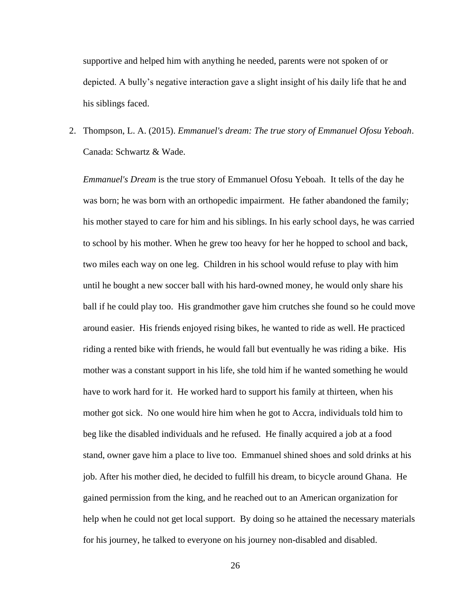supportive and helped him with anything he needed, parents were not spoken of or depicted. A bully's negative interaction gave a slight insight of his daily life that he and his siblings faced.

2. Thompson, L. A. (2015). *Emmanuel's dream: The true story of Emmanuel Ofosu Yeboah*. Canada: Schwartz & Wade.

*Emmanuel's Dream* is the true story of Emmanuel Ofosu Yeboah. It tells of the day he was born; he was born with an orthopedic impairment. He father abandoned the family; his mother stayed to care for him and his siblings. In his early school days, he was carried to school by his mother. When he grew too heavy for her he hopped to school and back, two miles each way on one leg. Children in his school would refuse to play with him until he bought a new soccer ball with his hard-owned money, he would only share his ball if he could play too. His grandmother gave him crutches she found so he could move around easier. His friends enjoyed rising bikes, he wanted to ride as well. He practiced riding a rented bike with friends, he would fall but eventually he was riding a bike. His mother was a constant support in his life, she told him if he wanted something he would have to work hard for it. He worked hard to support his family at thirteen, when his mother got sick. No one would hire him when he got to Accra, individuals told him to beg like the disabled individuals and he refused. He finally acquired a job at a food stand, owner gave him a place to live too. Emmanuel shined shoes and sold drinks at his job. After his mother died, he decided to fulfill his dream, to bicycle around Ghana. He gained permission from the king, and he reached out to an American organization for help when he could not get local support. By doing so he attained the necessary materials for his journey, he talked to everyone on his journey non-disabled and disabled.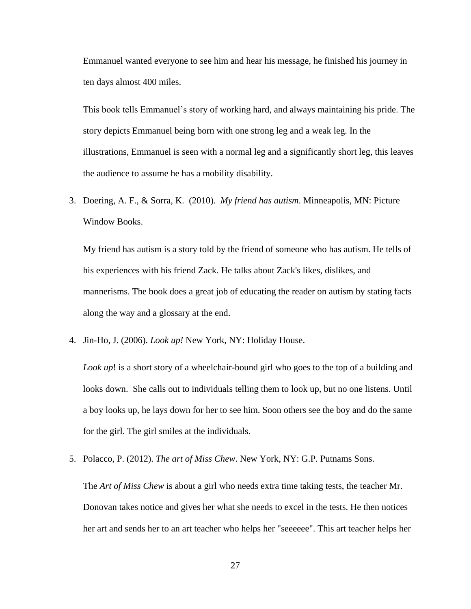Emmanuel wanted everyone to see him and hear his message, he finished his journey in ten days almost 400 miles.

This book tells Emmanuel's story of working hard, and always maintaining his pride. The story depicts Emmanuel being born with one strong leg and a weak leg. In the illustrations, Emmanuel is seen with a normal leg and a significantly short leg, this leaves the audience to assume he has a mobility disability.

3. Doering, A. F., & Sorra, K. (2010). *My friend has autism*. Minneapolis, MN: Picture Window Books.

My friend has autism is a story told by the friend of someone who has autism. He tells of his experiences with his friend Zack. He talks about Zack's likes, dislikes, and mannerisms. The book does a great job of educating the reader on autism by stating facts along the way and a glossary at the end.

4. Jin-Ho, J. (2006). *Look up!* New York, NY: Holiday House.

*Look up*! is a short story of a wheelchair-bound girl who goes to the top of a building and looks down. She calls out to individuals telling them to look up, but no one listens. Until a boy looks up, he lays down for her to see him. Soon others see the boy and do the same for the girl. The girl smiles at the individuals.

5. Polacco, P. (2012). *The art of Miss Chew*. New York, NY: G.P. Putnams Sons.

The *Art of Miss Chew* is about a girl who needs extra time taking tests, the teacher Mr. Donovan takes notice and gives her what she needs to excel in the tests. He then notices her art and sends her to an art teacher who helps her "seeeeee". This art teacher helps her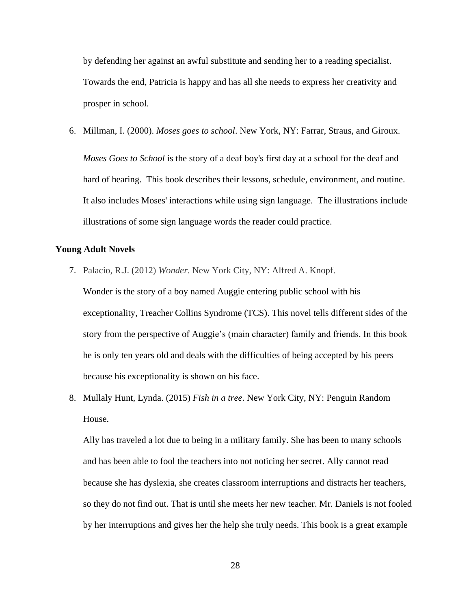by defending her against an awful substitute and sending her to a reading specialist. Towards the end, Patricia is happy and has all she needs to express her creativity and prosper in school.

6. Millman, I. (2000). *Moses goes to school*. New York, NY: Farrar, Straus, and Giroux.

*Moses Goes to School* is the story of a deaf boy's first day at a school for the deaf and hard of hearing. This book describes their lessons, schedule, environment, and routine. It also includes Moses' interactions while using sign language. The illustrations include illustrations of some sign language words the reader could practice.

## <span id="page-29-0"></span>**Young Adult Novels**

7. Palacio, R.J. (2012) *Wonder*. New York City, NY: Alfred A. Knopf.

Wonder is the story of a boy named Auggie entering public school with his exceptionality, Treacher Collins Syndrome (TCS). This novel tells different sides of the story from the perspective of Auggie's (main character) family and friends. In this book he is only ten years old and deals with the difficulties of being accepted by his peers because his exceptionality is shown on his face.

8. Mullaly Hunt, Lynda. (2015) *Fish in a tree*. New York City, NY: Penguin Random House.

Ally has traveled a lot due to being in a military family. She has been to many schools and has been able to fool the teachers into not noticing her secret. Ally cannot read because she has dyslexia, she creates classroom interruptions and distracts her teachers, so they do not find out. That is until she meets her new teacher. Mr. Daniels is not fooled by her interruptions and gives her the help she truly needs. This book is a great example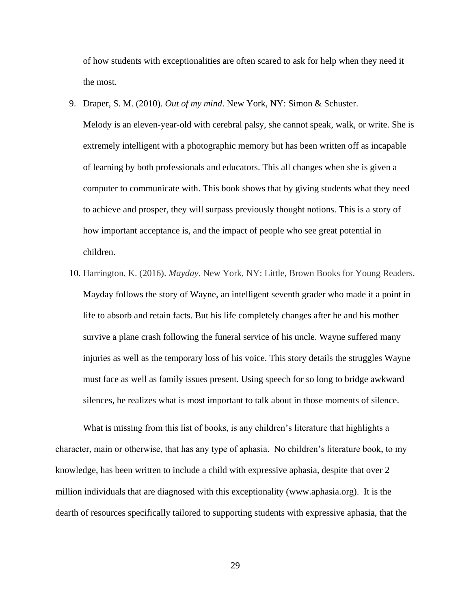of how students with exceptionalities are often scared to ask for help when they need it the most.

- 9. Draper, S. M. (2010). *Out of my mind*. New York, NY: Simon & Schuster. Melody is an eleven-year-old with cerebral palsy, she cannot speak, walk, or write. She is extremely intelligent with a photographic memory but has been written off as incapable of learning by both professionals and educators. This all changes when she is given a computer to communicate with. This book shows that by giving students what they need to achieve and prosper, they will surpass previously thought notions. This is a story of how important acceptance is, and the impact of people who see great potential in children.
- 10. Harrington, K. (2016). *Mayday*. New York, NY: Little, Brown Books for Young Readers. Mayday follows the story of Wayne, an intelligent seventh grader who made it a point in life to absorb and retain facts. But his life completely changes after he and his mother survive a plane crash following the funeral service of his uncle. Wayne suffered many injuries as well as the temporary loss of his voice. This story details the struggles Wayne must face as well as family issues present. Using speech for so long to bridge awkward silences, he realizes what is most important to talk about in those moments of silence.

What is missing from this list of books, is any children's literature that highlights a character, main or otherwise, that has any type of aphasia. No children's literature book, to my knowledge, has been written to include a child with expressive aphasia, despite that over 2 million individuals that are diagnosed with this exceptionality (www.aphasia.org). It is the dearth of resources specifically tailored to supporting students with expressive aphasia, that the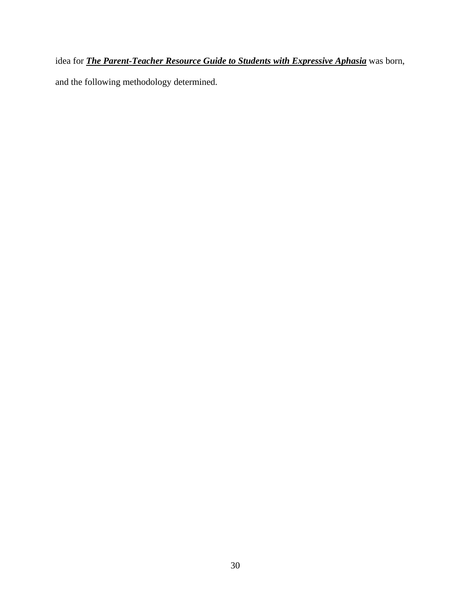idea for *The Parent-Teacher Resource Guide to Students with Expressive Aphasia* was born, and the following methodology determined.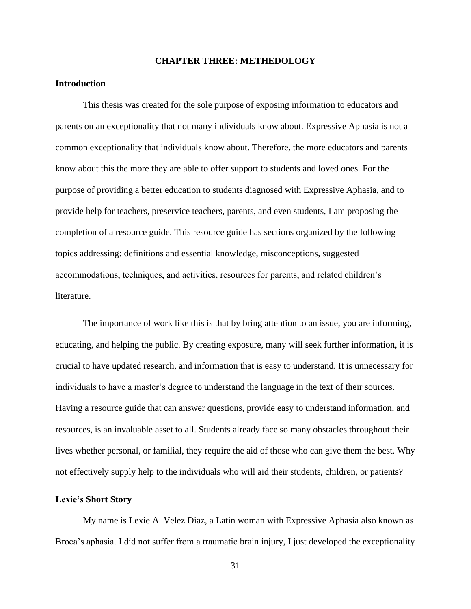#### **CHAPTER THREE: METHEDOLOGY**

#### <span id="page-32-1"></span><span id="page-32-0"></span>**Introduction**

This thesis was created for the sole purpose of exposing information to educators and parents on an exceptionality that not many individuals know about. Expressive Aphasia is not a common exceptionality that individuals know about. Therefore, the more educators and parents know about this the more they are able to offer support to students and loved ones. For the purpose of providing a better education to students diagnosed with Expressive Aphasia, and to provide help for teachers, preservice teachers, parents, and even students, I am proposing the completion of a resource guide. This resource guide has sections organized by the following topics addressing: definitions and essential knowledge, misconceptions, suggested accommodations, techniques, and activities, resources for parents, and related children's literature.

The importance of work like this is that by bring attention to an issue, you are informing, educating, and helping the public. By creating exposure, many will seek further information, it is crucial to have updated research, and information that is easy to understand. It is unnecessary for individuals to have a master's degree to understand the language in the text of their sources. Having a resource guide that can answer questions, provide easy to understand information, and resources, is an invaluable asset to all. Students already face so many obstacles throughout their lives whether personal, or familial, they require the aid of those who can give them the best. Why not effectively supply help to the individuals who will aid their students, children, or patients?

#### <span id="page-32-2"></span>**Lexie's Short Story**

My name is Lexie A. Velez Diaz, a Latin woman with Expressive Aphasia also known as Broca's aphasia. I did not suffer from a traumatic brain injury, I just developed the exceptionality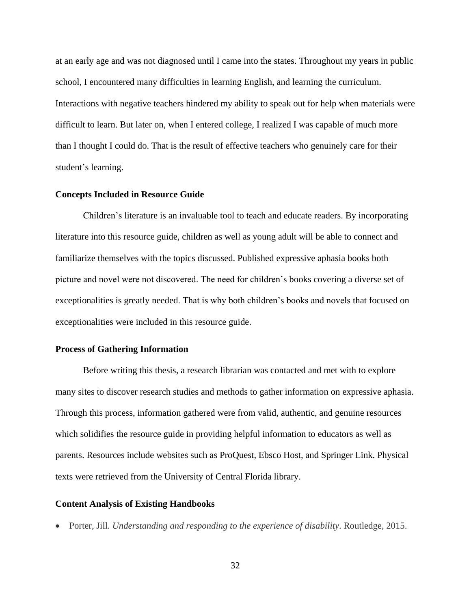at an early age and was not diagnosed until I came into the states. Throughout my years in public school, I encountered many difficulties in learning English, and learning the curriculum. Interactions with negative teachers hindered my ability to speak out for help when materials were difficult to learn. But later on, when I entered college, I realized I was capable of much more than I thought I could do. That is the result of effective teachers who genuinely care for their student's learning.

#### <span id="page-33-0"></span>**Concepts Included in Resource Guide**

Children's literature is an invaluable tool to teach and educate readers. By incorporating literature into this resource guide, children as well as young adult will be able to connect and familiarize themselves with the topics discussed. Published expressive aphasia books both picture and novel were not discovered. The need for children's books covering a diverse set of exceptionalities is greatly needed. That is why both children's books and novels that focused on exceptionalities were included in this resource guide.

#### <span id="page-33-1"></span>**Process of Gathering Information**

Before writing this thesis, a research librarian was contacted and met with to explore many sites to discover research studies and methods to gather information on expressive aphasia. Through this process, information gathered were from valid, authentic, and genuine resources which solidifies the resource guide in providing helpful information to educators as well as parents. Resources include websites such as ProQuest, Ebsco Host, and Springer Link. Physical texts were retrieved from the University of Central Florida library.

#### <span id="page-33-2"></span>**Content Analysis of Existing Handbooks**

• Porter, Jill. *Understanding and responding to the experience of disability*. Routledge, 2015.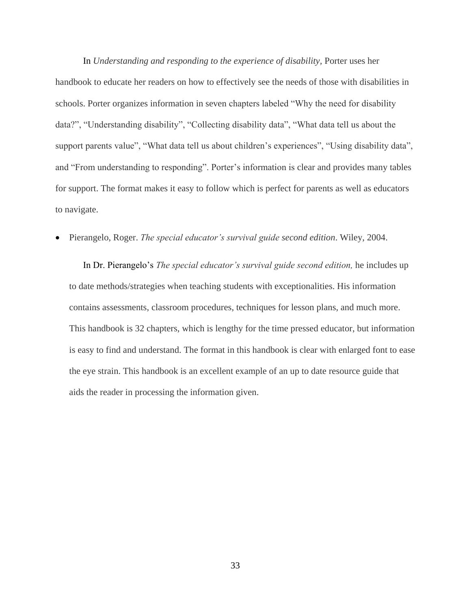In *Understanding and responding to the experience of disability*, Porter uses her handbook to educate her readers on how to effectively see the needs of those with disabilities in schools. Porter organizes information in seven chapters labeled "Why the need for disability data?", "Understanding disability", "Collecting disability data", "What data tell us about the support parents value", "What data tell us about children's experiences", "Using disability data", and "From understanding to responding". Porter's information is clear and provides many tables for support. The format makes it easy to follow which is perfect for parents as well as educators to navigate.

• Pierangelo, Roger. *The special educator's survival guide second edition*. Wiley, 2004.

In Dr. Pierangelo's *The special educator's survival guide second edition,* he includes up to date methods/strategies when teaching students with exceptionalities. His information contains assessments, classroom procedures, techniques for lesson plans, and much more. This handbook is 32 chapters, which is lengthy for the time pressed educator, but information is easy to find and understand. The format in this handbook is clear with enlarged font to ease the eye strain. This handbook is an excellent example of an up to date resource guide that aids the reader in processing the information given.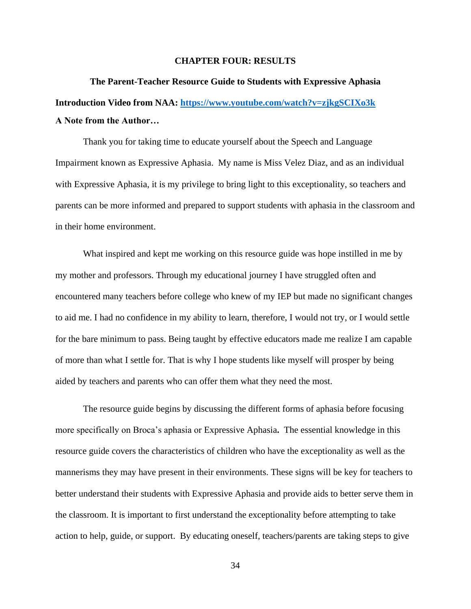#### **CHAPTER FOUR: RESULTS**

# <span id="page-35-1"></span><span id="page-35-0"></span>**The Parent-Teacher Resource Guide to Students with Expressive Aphasia Introduction Video from NAA:<https://www.youtube.com/watch?v=zjkgSCIXo3k> A Note from the Author…**

<span id="page-35-2"></span>Thank you for taking time to educate yourself about the Speech and Language Impairment known as Expressive Aphasia. My name is Miss Velez Diaz, and as an individual with Expressive Aphasia, it is my privilege to bring light to this exceptionality, so teachers and parents can be more informed and prepared to support students with aphasia in the classroom and in their home environment.

What inspired and kept me working on this resource guide was hope instilled in me by my mother and professors. Through my educational journey I have struggled often and encountered many teachers before college who knew of my IEP but made no significant changes to aid me. I had no confidence in my ability to learn, therefore, I would not try, or I would settle for the bare minimum to pass. Being taught by effective educators made me realize I am capable of more than what I settle for. That is why I hope students like myself will prosper by being aided by teachers and parents who can offer them what they need the most.

The resource guide begins by discussing the different forms of aphasia before focusing more specifically on Broca's aphasia or Expressive Aphasia**.** The essential knowledge in this resource guide covers the characteristics of children who have the exceptionality as well as the mannerisms they may have present in their environments. These signs will be key for teachers to better understand their students with Expressive Aphasia and provide aids to better serve them in the classroom. It is important to first understand the exceptionality before attempting to take action to help, guide, or support. By educating oneself, teachers/parents are taking steps to give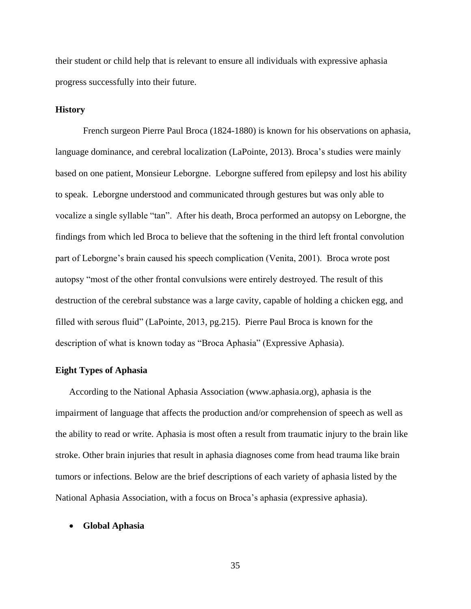their student or child help that is relevant to ensure all individuals with expressive aphasia progress successfully into their future.

### **History**

French surgeon Pierre Paul Broca (1824-1880) is known for his observations on aphasia, language dominance, and cerebral localization (LaPointe, 2013). Broca's studies were mainly based on one patient, Monsieur Leborgne. Leborgne suffered from epilepsy and lost his ability to speak. Leborgne understood and communicated through gestures but was only able to vocalize a single syllable "tan". After his death, Broca performed an autopsy on Leborgne, the findings from which led Broca to believe that the softening in the third left frontal convolution part of Leborgne's brain caused his speech complication (Venita, 2001). Broca wrote post autopsy "most of the other frontal convulsions were entirely destroyed. The result of this destruction of the cerebral substance was a large cavity, capable of holding a chicken egg, and filled with serous fluid" (LaPointe, 2013, pg.215). Pierre Paul Broca is known for the description of what is known today as "Broca Aphasia" (Expressive Aphasia).

#### **Eight Types of Aphasia**

According to the National Aphasia Association (www.aphasia.org), aphasia is the impairment of language that affects the production and/or comprehension of speech as well as the ability to read or write. Aphasia is most often a result from traumatic injury to the brain like stroke. Other brain injuries that result in aphasia diagnoses come from head trauma like brain tumors or infections. Below are the brief descriptions of each variety of aphasia listed by the National Aphasia Association, with a focus on Broca's aphasia (expressive aphasia).

#### • **Global Aphasia**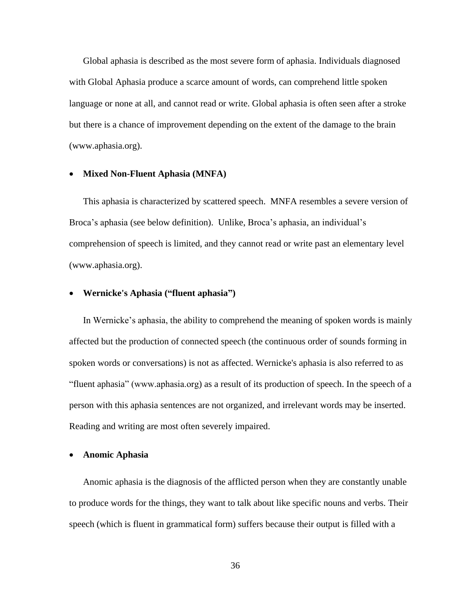Global aphasia is described as the most severe form of aphasia. Individuals diagnosed with Global Aphasia produce a scarce amount of words, can comprehend little spoken language or none at all, and cannot read or write. Global aphasia is often seen after a stroke but there is a chance of improvement depending on the extent of the damage to the brain (www.aphasia.org).

#### • **Mixed Non-Fluent Aphasia (MNFA)**

This aphasia is characterized by scattered speech. MNFA resembles a severe version of Broca's aphasia (see below definition). Unlike, Broca's aphasia, an individual's comprehension of speech is limited, and they cannot read or write past an elementary level (www.aphasia.org).

#### • **Wernicke's Aphasia ("fluent aphasia")**

In Wernicke's aphasia, the ability to comprehend the meaning of spoken words is mainly affected but the production of connected speech (the continuous order of sounds forming in spoken words or conversations) is not as affected. Wernicke's aphasia is also referred to as "fluent aphasia" (www.aphasia.org) as a result of its production of speech. In the speech of a person with this aphasia sentences are not organized, and irrelevant words may be inserted. Reading and writing are most often severely impaired.

#### • **Anomic Aphasia**

Anomic aphasia is the diagnosis of the afflicted person when they are constantly unable to produce words for the things, they want to talk about like specific nouns and verbs. Their speech (which is fluent in grammatical form) suffers because their output is filled with a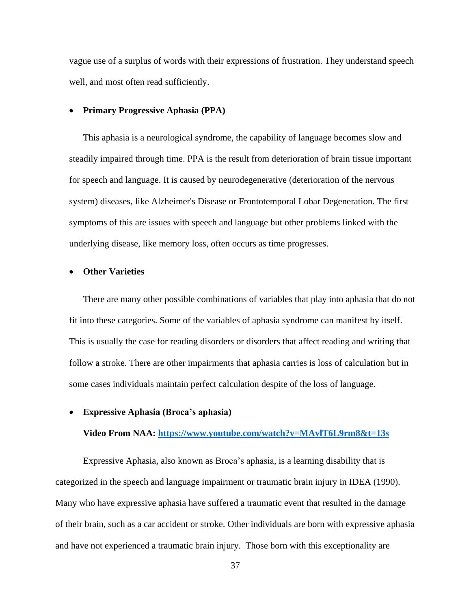vague use of a surplus of words with their expressions of frustration. They understand speech well, and most often read sufficiently.

#### • **Primary Progressive Aphasia (PPA)**

This aphasia is a neurological syndrome, the capability of language becomes slow and steadily impaired through time. PPA is the result from deterioration of brain tissue important for speech and language. It is caused by neurodegenerative (deterioration of the nervous system) diseases, like Alzheimer's Disease or Frontotemporal Lobar Degeneration. The first symptoms of this are issues with speech and language but other problems linked with the underlying disease, like memory loss, often occurs as time progresses.

#### • **Other Varieties**

There are many other possible combinations of variables that play into aphasia that do not fit into these categories. Some of the variables of aphasia syndrome can manifest by itself. This is usually the case for reading disorders or disorders that affect reading and writing that follow a stroke. There are other impairments that aphasia carries is loss of calculation but in some cases individuals maintain perfect calculation despite of the loss of language.

#### • **Expressive Aphasia (Broca's aphasia)**

#### **Video From NAA:<https://www.youtube.com/watch?v=MAvlT6L9rm8&t=13s>**

Expressive Aphasia, also known as Broca's aphasia, is a learning disability that is categorized in the speech and language impairment or traumatic brain injury in IDEA (1990). Many who have expressive aphasia have suffered a traumatic event that resulted in the damage of their brain, such as a car accident or stroke. Other individuals are born with expressive aphasia and have not experienced a traumatic brain injury. Those born with this exceptionality are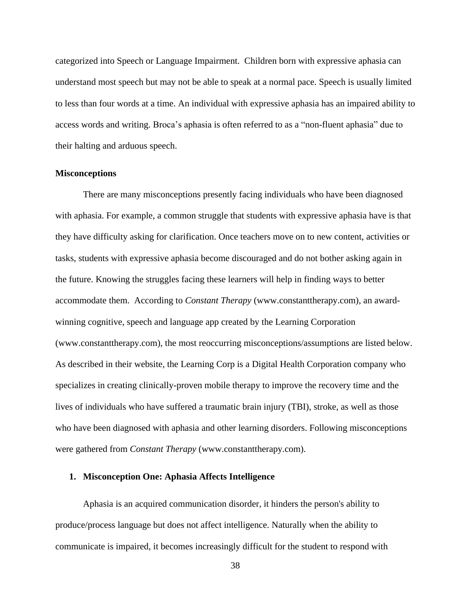categorized into Speech or Language Impairment. Children born with expressive aphasia can understand most speech but may not be able to speak at a normal pace. Speech is usually limited to less than four words at a time. An individual with expressive aphasia has an impaired ability to access words and writing. Broca's aphasia is often referred to as a "non-fluent aphasia" due to their halting and arduous speech.

#### **Misconceptions**

There are many misconceptions presently facing individuals who have been diagnosed with aphasia. For example, a common struggle that students with expressive aphasia have is that they have difficulty asking for clarification. Once teachers move on to new content, activities or tasks, students with expressive aphasia become discouraged and do not bother asking again in the future. Knowing the struggles facing these learners will help in finding ways to better accommodate them. According to *Constant Therapy* (www.constanttherapy.com), an awardwinning cognitive, speech and language app created by the Learning Corporation (www.constanttherapy.com), the most reoccurring misconceptions/assumptions are listed below. As described in their website, the Learning Corp is a Digital Health Corporation company who specializes in creating clinically-proven mobile therapy to improve the recovery time and the lives of individuals who have suffered a traumatic brain injury (TBI), stroke, as well as those who have been diagnosed with aphasia and other learning disorders. Following misconceptions were gathered from *Constant Therapy* (www.constanttherapy.com).

#### **1. Misconception One: Aphasia Affects Intelligence**

Aphasia is an acquired communication disorder, it hinders the person's ability to produce/process language but does not affect intelligence. Naturally when the ability to communicate is impaired, it becomes increasingly difficult for the student to respond with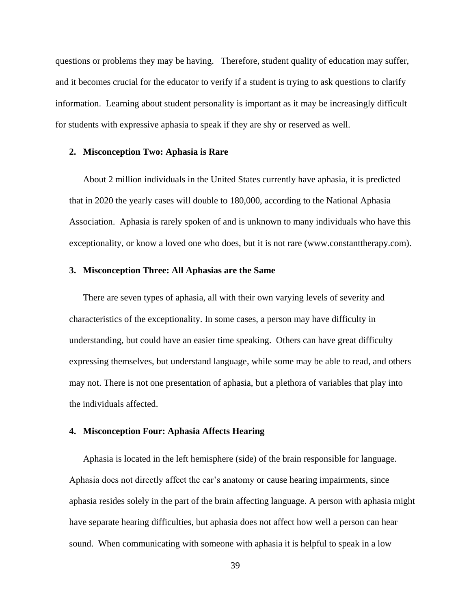questions or problems they may be having. Therefore, student quality of education may suffer, and it becomes crucial for the educator to verify if a student is trying to ask questions to clarify information. Learning about student personality is important as it may be increasingly difficult for students with expressive aphasia to speak if they are shy or reserved as well.

#### **2. Misconception Two: Aphasia is Rare**

About 2 million individuals in the United States currently have aphasia, it is predicted that in 2020 the yearly cases will double to 180,000, according to the National Aphasia Association. Aphasia is rarely spoken of and is unknown to many individuals who have this exceptionality, or know a loved one who does, but it is not rare (www.constanttherapy.com).

### **3. Misconception Three: All Aphasias are the Same**

There are seven types of aphasia, all with their own varying levels of severity and characteristics of the exceptionality. In some cases, a person may have difficulty in understanding, but could have an easier time speaking. Others can have great difficulty expressing themselves, but understand language, while some may be able to read, and others may not. There is not one presentation of aphasia, but a plethora of variables that play into the individuals affected.

#### **4. Misconception Four: Aphasia Affects Hearing**

Aphasia is located in the left hemisphere (side) of the brain responsible for language. Aphasia does not directly affect the ear's anatomy or cause hearing impairments, since aphasia resides solely in the part of the brain affecting language. A person with aphasia might have separate hearing difficulties, but aphasia does not affect how well a person can hear sound. When communicating with someone with aphasia it is helpful to speak in a low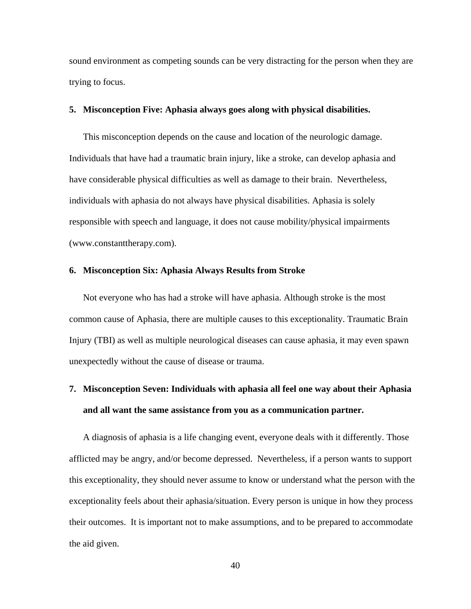sound environment as competing sounds can be very distracting for the person when they are trying to focus.

### **5. Misconception Five: Aphasia always goes along with physical disabilities.**

This misconception depends on the cause and location of the neurologic damage. Individuals that have had a traumatic brain injury, like a stroke, can develop aphasia and have considerable physical difficulties as well as damage to their brain. Nevertheless, individuals with aphasia do not always have physical disabilities. Aphasia is solely responsible with speech and language, it does not cause mobility/physical impairments (www.constanttherapy.com).

### **6. Misconception Six: Aphasia Always Results from Stroke**

Not everyone who has had a stroke will have aphasia. Although stroke is the most common cause of Aphasia, there are multiple causes to this exceptionality. Traumatic Brain Injury (TBI) as well as multiple neurological diseases can cause aphasia, it may even spawn unexpectedly without the cause of disease or trauma.

# **7. Misconception Seven: Individuals with aphasia all feel one way about their Aphasia and all want the same assistance from you as a communication partner.**

A diagnosis of aphasia is a life changing event, everyone deals with it differently. Those afflicted may be angry, and/or become depressed. Nevertheless, if a person wants to support this exceptionality, they should never assume to know or understand what the person with the exceptionality feels about their aphasia/situation. Every person is unique in how they process their outcomes. It is important not to make assumptions, and to be prepared to accommodate the aid given.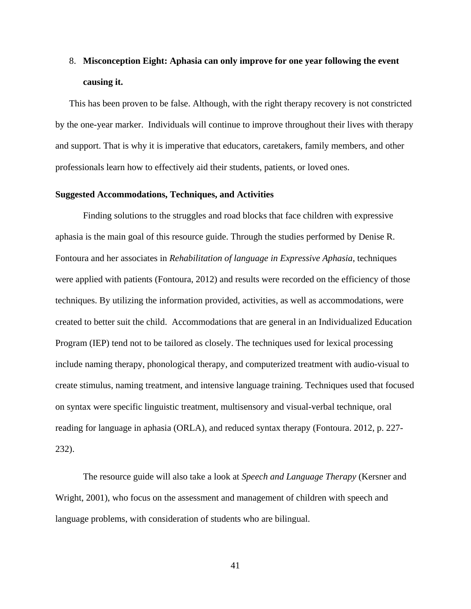# 8. **Misconception Eight: Aphasia can only improve for one year following the event causing it.**

This has been proven to be false. Although, with the right therapy recovery is not constricted by the one-year marker. Individuals will continue to improve throughout their lives with therapy and support. That is why it is imperative that educators, caretakers, family members, and other professionals learn how to effectively aid their students, patients, or loved ones.

### **Suggested Accommodations, Techniques, and Activities**

Finding solutions to the struggles and road blocks that face children with expressive aphasia is the main goal of this resource guide. Through the studies performed by Denise R. Fontoura and her associates in *Rehabilitation of language in Expressive Aphasia*, techniques were applied with patients (Fontoura, 2012) and results were recorded on the efficiency of those techniques. By utilizing the information provided, activities, as well as accommodations, were created to better suit the child. Accommodations that are general in an Individualized Education Program (IEP) tend not to be tailored as closely. The techniques used for lexical processing include naming therapy, phonological therapy, and computerized treatment with audio-visual to create stimulus, naming treatment, and intensive language training. Techniques used that focused on syntax were specific linguistic treatment, multisensory and visual-verbal technique, oral reading for language in aphasia (ORLA), and reduced syntax therapy (Fontoura. 2012, p. 227- 232).

The resource guide will also take a look at *Speech and Language Therapy* (Kersner and Wright, 2001), who focus on the assessment and management of children with speech and language problems, with consideration of students who are bilingual.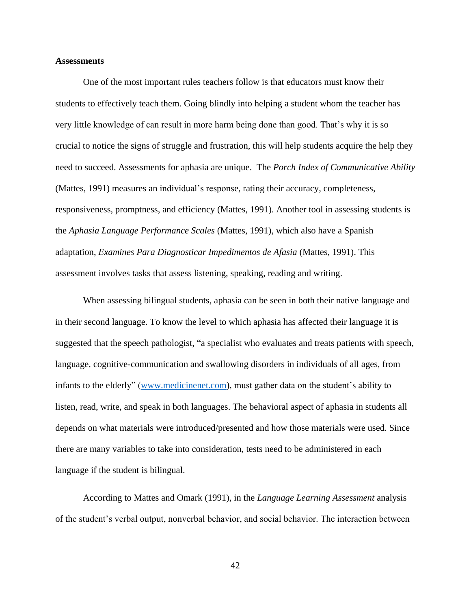#### **Assessments**

One of the most important rules teachers follow is that educators must know their students to effectively teach them. Going blindly into helping a student whom the teacher has very little knowledge of can result in more harm being done than good. That's why it is so crucial to notice the signs of struggle and frustration, this will help students acquire the help they need to succeed. Assessments for aphasia are unique. The *Porch Index of Communicative Ability* (Mattes, 1991) measures an individual's response, rating their accuracy, completeness, responsiveness, promptness, and efficiency (Mattes, 1991). Another tool in assessing students is the *Aphasia Language Performance Scales* (Mattes, 1991), which also have a Spanish adaptation, *Examines Para Diagnosticar Impedimentos de Afasia* (Mattes, 1991). This assessment involves tasks that assess listening, speaking, reading and writing.

When assessing bilingual students, aphasia can be seen in both their native language and in their second language. To know the level to which aphasia has affected their language it is suggested that the speech pathologist, "a specialist who evaluates and treats patients with speech, language, cognitive-communication and swallowing disorders in individuals of all ages, from infants to the elderly" [\(www.medicinenet.com\)](http://www.medicinenet.com/), must gather data on the student's ability to listen, read, write, and speak in both languages. The behavioral aspect of aphasia in students all depends on what materials were introduced/presented and how those materials were used. Since there are many variables to take into consideration, tests need to be administered in each language if the student is bilingual.

According to Mattes and Omark (1991), in the *Language Learning Assessment* analysis of the student's verbal output, nonverbal behavior, and social behavior. The interaction between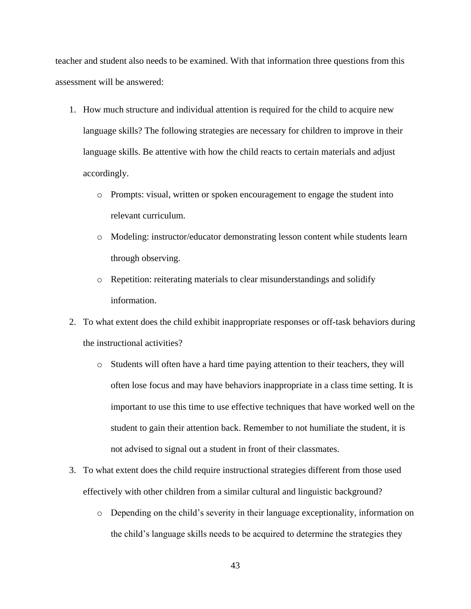teacher and student also needs to be examined. With that information three questions from this assessment will be answered:

- 1. How much structure and individual attention is required for the child to acquire new language skills? The following strategies are necessary for children to improve in their language skills. Be attentive with how the child reacts to certain materials and adjust accordingly.
	- o Prompts: visual, written or spoken encouragement to engage the student into relevant curriculum.
	- o Modeling: instructor/educator demonstrating lesson content while students learn through observing.
	- o Repetition: reiterating materials to clear misunderstandings and solidify information.
- 2. To what extent does the child exhibit inappropriate responses or off-task behaviors during the instructional activities?
	- o Students will often have a hard time paying attention to their teachers, they will often lose focus and may have behaviors inappropriate in a class time setting. It is important to use this time to use effective techniques that have worked well on the student to gain their attention back. Remember to not humiliate the student, it is not advised to signal out a student in front of their classmates.
- 3. To what extent does the child require instructional strategies different from those used effectively with other children from a similar cultural and linguistic background?
	- o Depending on the child's severity in their language exceptionality, information on the child's language skills needs to be acquired to determine the strategies they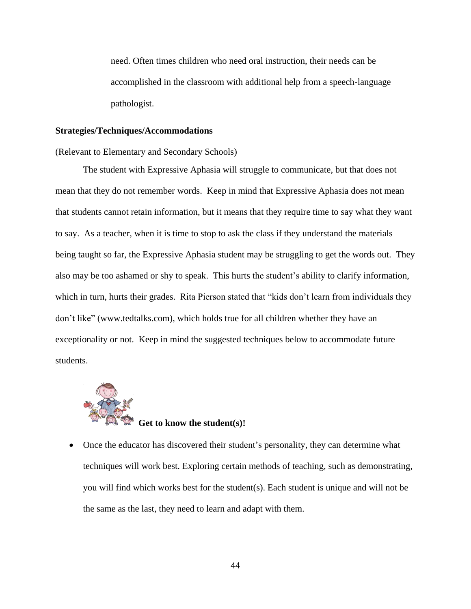need. Often times children who need oral instruction, their needs can be accomplished in the classroom with additional help from a speech-language pathologist.

#### **Strategies/Techniques/Accommodations**

(Relevant to Elementary and Secondary Schools)

The student with Expressive Aphasia will struggle to communicate, but that does not mean that they do not remember words. Keep in mind that Expressive Aphasia does not mean that students cannot retain information, but it means that they require time to say what they want to say. As a teacher, when it is time to stop to ask the class if they understand the materials being taught so far, the Expressive Aphasia student may be struggling to get the words out. They also may be too ashamed or shy to speak. This hurts the student's ability to clarify information, which in turn, hurts their grades. Rita Pierson stated that "kids don't learn from individuals they don't like" (www.tedtalks.com), which holds true for all children whether they have an exceptionality or not. Keep in mind the suggested techniques below to accommodate future students.



• Once the educator has discovered their student's personality, they can determine what techniques will work best. Exploring certain methods of teaching, such as demonstrating, you will find which works best for the student(s). Each student is unique and will not be the same as the last, they need to learn and adapt with them.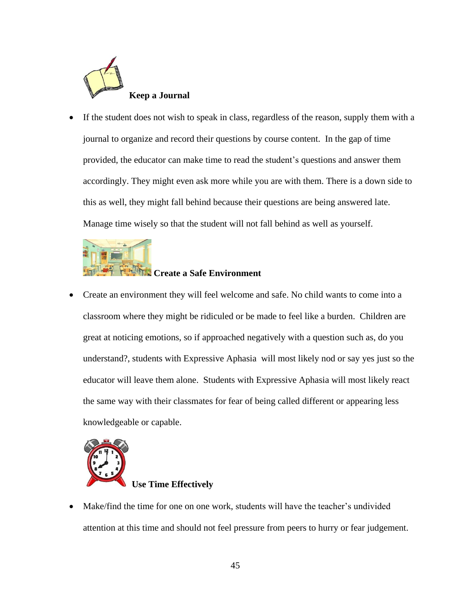

If the student does not wish to speak in class, regardless of the reason, supply them with a journal to organize and record their questions by course content. In the gap of time provided, the educator can make time to read the student's questions and answer them accordingly. They might even ask more while you are with them. There is a down side to this as well, they might fall behind because their questions are being answered late. Manage time wisely so that the student will not fall behind as well as yourself.



• Create an environment they will feel welcome and safe. No child wants to come into a classroom where they might be ridiculed or be made to feel like a burden. Children are great at noticing emotions, so if approached negatively with a question such as, do you understand?, students with Expressive Aphasia will most likely nod or say yes just so the educator will leave them alone. Students with Expressive Aphasia will most likely react the same way with their classmates for fear of being called different or appearing less knowledgeable or capable.



# **Use Time Effectively**

• Make/find the time for one on one work, students will have the teacher's undivided attention at this time and should not feel pressure from peers to hurry or fear judgement.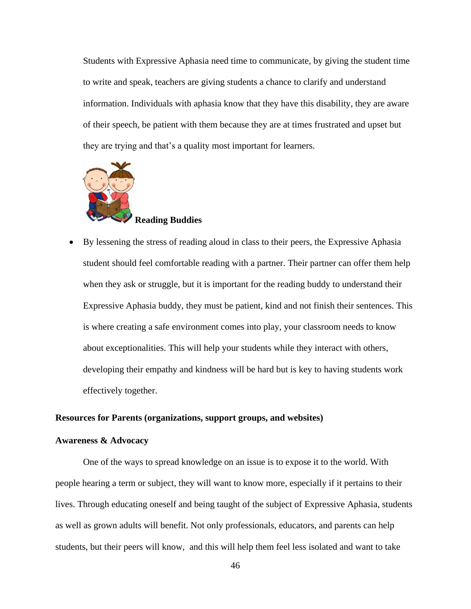Students with Expressive Aphasia need time to communicate, by giving the student time to write and speak, teachers are giving students a chance to clarify and understand information. Individuals with aphasia know that they have this disability, they are aware of their speech, be patient with them because they are at times frustrated and upset but they are trying and that's a quality most important for learners.



# **Reading Buddies**

• By lessening the stress of reading aloud in class to their peers, the Expressive Aphasia student should feel comfortable reading with a partner. Their partner can offer them help when they ask or struggle, but it is important for the reading buddy to understand their Expressive Aphasia buddy, they must be patient, kind and not finish their sentences. This is where creating a safe environment comes into play, your classroom needs to know about exceptionalities. This will help your students while they interact with others, developing their empathy and kindness will be hard but is key to having students work effectively together.

#### **Resources for Parents (organizations, support groups, and websites)**

#### **Awareness & Advocacy**

One of the ways to spread knowledge on an issue is to expose it to the world. With people hearing a term or subject, they will want to know more, especially if it pertains to their lives. Through educating oneself and being taught of the subject of Expressive Aphasia, students as well as grown adults will benefit. Not only professionals, educators, and parents can help students, but their peers will know, and this will help them feel less isolated and want to take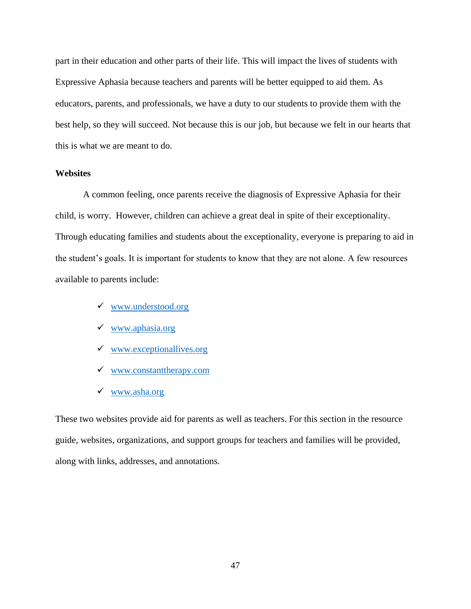part in their education and other parts of their life. This will impact the lives of students with Expressive Aphasia because teachers and parents will be better equipped to aid them. As educators, parents, and professionals, we have a duty to our students to provide them with the best help, so they will succeed. Not because this is our job, but because we felt in our hearts that this is what we are meant to do.

# **Websites**

A common feeling, once parents receive the diagnosis of Expressive Aphasia for their child, is worry. However, children can achieve a great deal in spite of their exceptionality. Through educating families and students about the exceptionality, everyone is preparing to aid in the student's goals. It is important for students to know that they are not alone. A few resources available to parents include:

- ✓ [www.understood.org](http://www.understood.org/)
- ✓ [www.aphasia.org](http://www.aphasia.org/)
- $\checkmark$  [www.exceptionallives.org](http://www.exceptionallives.org/)
- ✓ [www.constanttherapy.com](http://www.constanttherapy.com/)
- ✓ [www.asha.org](http://www.asha.org/)

These two websites provide aid for parents as well as teachers. For this section in the resource guide, websites, organizations, and support groups for teachers and families will be provided, along with links, addresses, and annotations.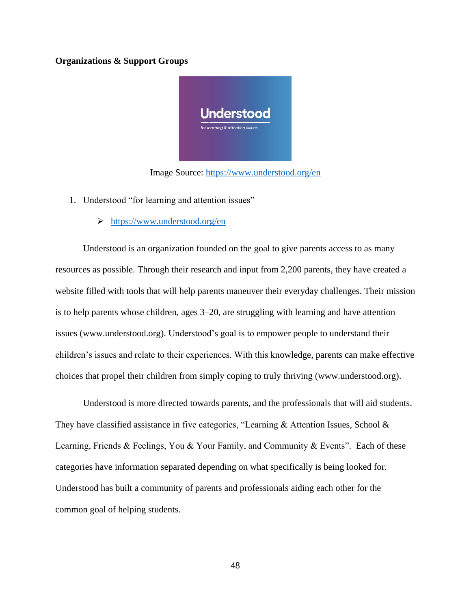### **Organizations & Support Groups**



Image Source:<https://www.understood.org/en>

- 1. Understood "for learning and attention issues"
	- ➢ <https://www.understood.org/en>

Understood is an organization founded on the goal to give parents access to as many resources as possible. Through their research and input from 2,200 parents, they have created a website filled with tools that will help parents maneuver their everyday challenges. Their mission is to help parents whose children, ages 3–20, are struggling with learning and have attention issues (www.understood.org). Understood's goal is to empower people to understand their children's issues and relate to their experiences. With this knowledge, parents can make effective choices that propel their children from simply coping to truly thriving (www.understood.org).

Understood is more directed towards parents, and the professionals that will aid students. They have classified assistance in five categories, "Learning & Attention Issues, School & Learning, Friends & Feelings, You & Your Family, and Community & Events". Each of these categories have information separated depending on what specifically is being looked for. Understood has built a community of parents and professionals aiding each other for the common goal of helping students.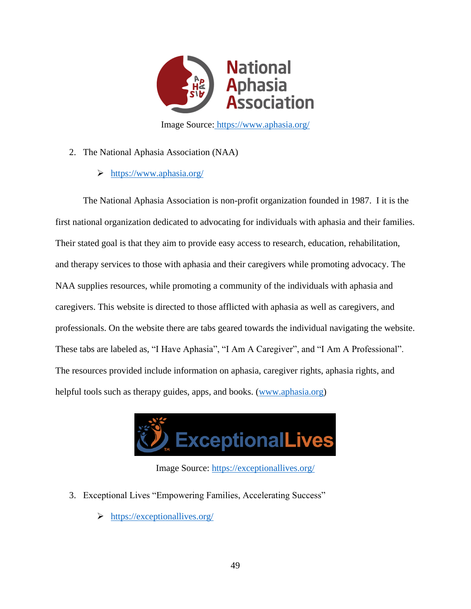

Image Source: <https://www.aphasia.org/>

- 2. The National Aphasia Association (NAA)
	- ➢ <https://www.aphasia.org/>

The National Aphasia Association is non-profit organization founded in 1987. I it is the first national organization dedicated to advocating for individuals with aphasia and their families. Their stated goal is that they aim to provide easy access to research, education, rehabilitation, and therapy services to those with aphasia and their caregivers while promoting advocacy. The NAA supplies resources, while promoting a community of the individuals with aphasia and caregivers. This website is directed to those afflicted with aphasia as well as caregivers, and professionals. On the website there are tabs geared towards the individual navigating the website. These tabs are labeled as, "I Have Aphasia", "I Am A Caregiver", and "I Am A Professional". The resources provided include information on aphasia, caregiver rights, aphasia rights, and helpful tools such as therapy guides, apps, and books. [\(www.aphasia.org\)](http://www.aphasia.org/)



Image Source:<https://exceptionallives.org/>

- 3. Exceptional Lives "Empowering Families, Accelerating Success"
	- ➢ <https://exceptionallives.org/>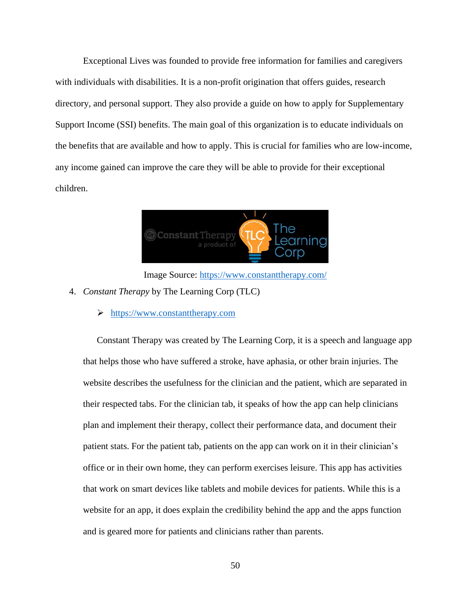Exceptional Lives was founded to provide free information for families and caregivers with individuals with disabilities. It is a non-profit origination that offers guides, research directory, and personal support. They also provide a guide on how to apply for Supplementary Support Income (SSI) benefits. The main goal of this organization is to educate individuals on the benefits that are available and how to apply. This is crucial for families who are low-income, any income gained can improve the care they will be able to provide for their exceptional children.



Image Source:<https://www.constanttherapy.com/>

- 4. *Constant Therapy* by The Learning Corp (TLC)
	- ➢ [https://www.constanttherapy.com](https://www.constanttherapy.com/)

Constant Therapy was created by The Learning Corp, it is a speech and language app that helps those who have suffered a stroke, have aphasia, or other brain injuries. The website describes the usefulness for the clinician and the patient, which are separated in their respected tabs. For the clinician tab, it speaks of how the app can help clinicians plan and implement their therapy, collect their performance data, and document their patient stats. For the patient tab, patients on the app can work on it in their clinician's office or in their own home, they can perform exercises leisure. This app has activities that work on smart devices like tablets and mobile devices for patients. While this is a website for an app, it does explain the credibility behind the app and the apps function and is geared more for patients and clinicians rather than parents.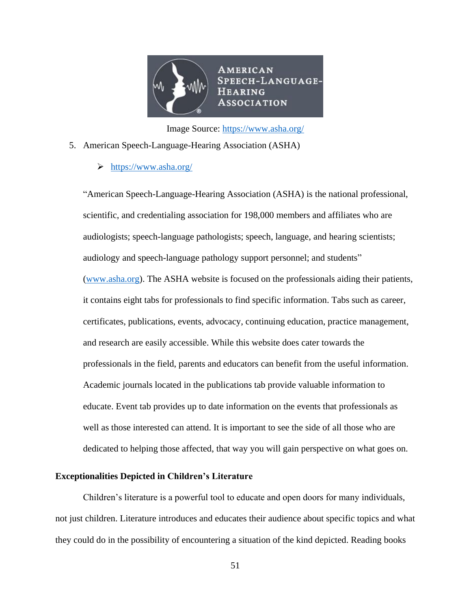

Image Source: <https://www.asha.org/>

- 5. American Speech-Language-Hearing Association (ASHA)
	- ➢ <https://www.asha.org/>

"American Speech-Language-Hearing Association (ASHA) is the national professional, scientific, and credentialing association for 198,000 members and affiliates who are audiologists; speech-language pathologists; speech, language, and hearing scientists; audiology and speech-language pathology support personnel; and students" [\(www.asha.org\)](http://www.asha.org/). The ASHA website is focused on the professionals aiding their patients, it contains eight tabs for professionals to find specific information. Tabs such as career, certificates, publications, events, advocacy, continuing education, practice management, and research are easily accessible. While this website does cater towards the professionals in the field, parents and educators can benefit from the useful information. Academic journals located in the publications tab provide valuable information to educate. Event tab provides up to date information on the events that professionals as well as those interested can attend. It is important to see the side of all those who are dedicated to helping those affected, that way you will gain perspective on what goes on.

## **Exceptionalities Depicted in Children's Literature**

Children's literature is a powerful tool to educate and open doors for many individuals, not just children. Literature introduces and educates their audience about specific topics and what they could do in the possibility of encountering a situation of the kind depicted. Reading books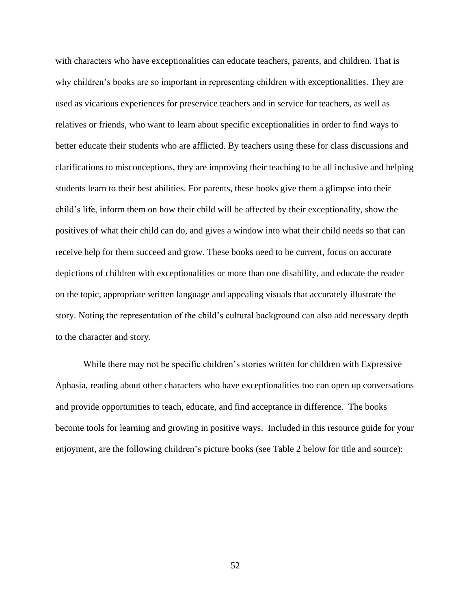with characters who have exceptionalities can educate teachers, parents, and children. That is why children's books are so important in representing children with exceptionalities. They are used as vicarious experiences for preservice teachers and in service for teachers, as well as relatives or friends, who want to learn about specific exceptionalities in order to find ways to better educate their students who are afflicted. By teachers using these for class discussions and clarifications to misconceptions, they are improving their teaching to be all inclusive and helping students learn to their best abilities. For parents, these books give them a glimpse into their child's life, inform them on how their child will be affected by their exceptionality, show the positives of what their child can do, and gives a window into what their child needs so that can receive help for them succeed and grow. These books need to be current, focus on accurate depictions of children with exceptionalities or more than one disability, and educate the reader on the topic, appropriate written language and appealing visuals that accurately illustrate the story. Noting the representation of the child's cultural background can also add necessary depth to the character and story.

While there may not be specific children's stories written for children with Expressive Aphasia, reading about other characters who have exceptionalities too can open up conversations and provide opportunities to teach, educate, and find acceptance in difference. The books become tools for learning and growing in positive ways. Included in this resource guide for your enjoyment, are the following children's picture books (see Table 2 below for title and source):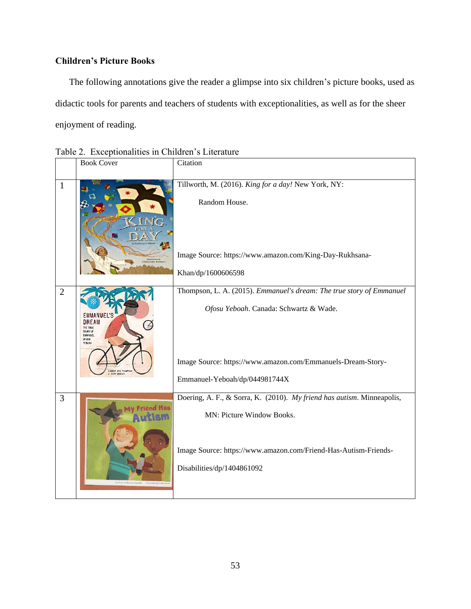# **Children's Picture Books**

The following annotations give the reader a glimpse into six children's picture books, used as didactic tools for parents and teachers of students with exceptionalities, as well as for the sheer enjoyment of reading.

|                | <b>Book Cover</b>                                        | Citation                                                                                                                                                                                                       |
|----------------|----------------------------------------------------------|----------------------------------------------------------------------------------------------------------------------------------------------------------------------------------------------------------------|
| $\mathbf{1}$   |                                                          | Tillworth, M. (2016). King for a day! New York, NY:<br>Random House.<br>Image Source: https://www.amazon.com/King-Day-Rukhsana-<br>Khan/dp/1600606598                                                          |
| $\overline{2}$ | STORY OF<br><b>EMMANUEL</b><br>OFOSU<br><b>YEBOAH</b>    | Thompson, L. A. (2015). Emmanuel's dream: The true story of Emmanuel<br>Ofosu Yeboah. Canada: Schwartz & Wade.<br>Image Source: https://www.amazon.com/Emmanuels-Dream-Story-<br>Emmanuel-Yeboah/dp/044981744X |
| 3              | by Amendo Decrine Tournille<br>Hottested by Kristin Some | Doering, A. F., & Sorra, K. (2010). My friend has autism. Minneapolis,<br>MN: Picture Window Books.<br>Image Source: https://www.amazon.com/Friend-Has-Autism-Friends-<br>Disabilities/dp/1404861092           |

Table 2. Exceptionalities in Children's Literature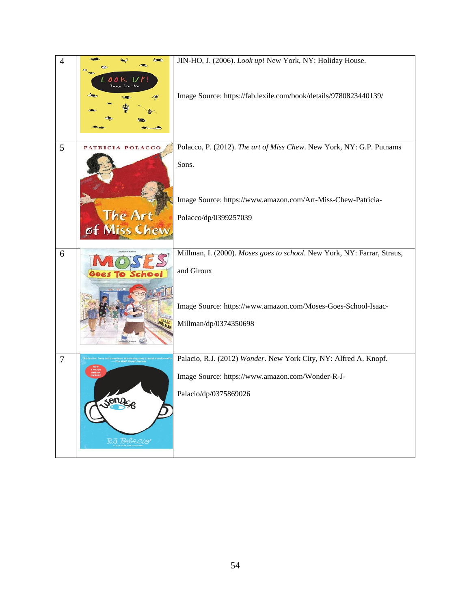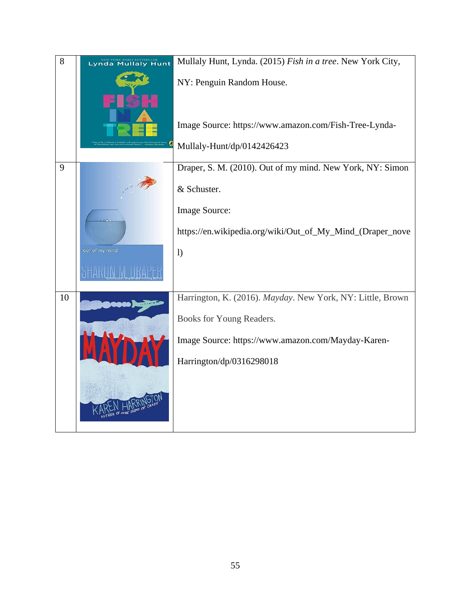| 8  | <b>Lynda Mullaly Hunt</b> | Mullaly Hunt, Lynda. (2015) Fish in a tree. New York City, |
|----|---------------------------|------------------------------------------------------------|
|    |                           | NY: Penguin Random House.                                  |
|    |                           | Image Source: https://www.amazon.com/Fish-Tree-Lynda-      |
|    |                           | Mullaly-Hunt/dp/0142426423                                 |
| 9  |                           | Draper, S. M. (2010). Out of my mind. New York, NY: Simon  |
|    |                           | & Schuster.                                                |
|    |                           | Image Source:                                              |
|    |                           | https://en.wikipedia.org/wiki/Out_of_My_Mind_(Draper_nove  |
|    | out of my mind            | $\left  \right)$                                           |
|    |                           |                                                            |
| 10 |                           | Harrington, K. (2016). Mayday. New York, NY: Little, Brown |
|    |                           | Books for Young Readers.                                   |
|    | IAN                       | Image Source: https://www.amazon.com/Mayday-Karen-         |
|    |                           | Harrington/dp/0316298018                                   |
|    |                           |                                                            |
|    |                           |                                                            |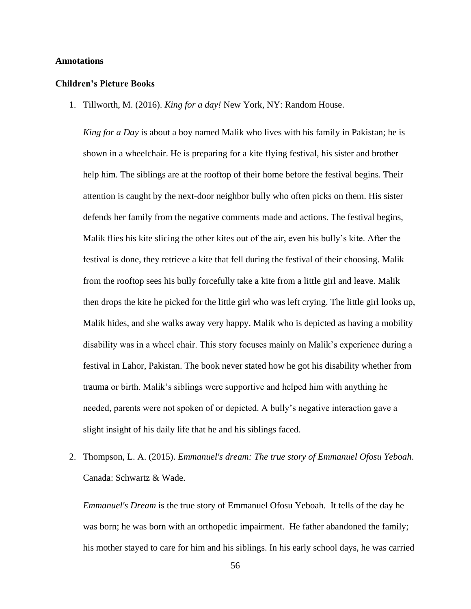#### **Annotations**

#### **Children's Picture Books**

1. Tillworth, M. (2016). *King for a day!* New York, NY: Random House.

*King for a Day* is about a boy named Malik who lives with his family in Pakistan; he is shown in a wheelchair. He is preparing for a kite flying festival, his sister and brother help him. The siblings are at the rooftop of their home before the festival begins. Their attention is caught by the next-door neighbor bully who often picks on them. His sister defends her family from the negative comments made and actions. The festival begins, Malik flies his kite slicing the other kites out of the air, even his bully's kite. After the festival is done, they retrieve a kite that fell during the festival of their choosing. Malik from the rooftop sees his bully forcefully take a kite from a little girl and leave. Malik then drops the kite he picked for the little girl who was left crying. The little girl looks up, Malik hides, and she walks away very happy. Malik who is depicted as having a mobility disability was in a wheel chair. This story focuses mainly on Malik's experience during a festival in Lahor, Pakistan. The book never stated how he got his disability whether from trauma or birth. Malik's siblings were supportive and helped him with anything he needed, parents were not spoken of or depicted. A bully's negative interaction gave a slight insight of his daily life that he and his siblings faced.

2. Thompson, L. A. (2015). *Emmanuel's dream: The true story of Emmanuel Ofosu Yeboah*. Canada: Schwartz & Wade.

*Emmanuel's Dream* is the true story of Emmanuel Ofosu Yeboah. It tells of the day he was born; he was born with an orthopedic impairment. He father abandoned the family; his mother stayed to care for him and his siblings. In his early school days, he was carried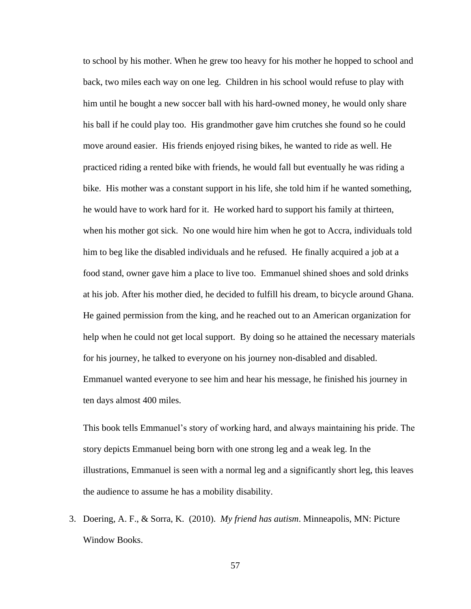to school by his mother. When he grew too heavy for his mother he hopped to school and back, two miles each way on one leg. Children in his school would refuse to play with him until he bought a new soccer ball with his hard-owned money, he would only share his ball if he could play too. His grandmother gave him crutches she found so he could move around easier. His friends enjoyed rising bikes, he wanted to ride as well. He practiced riding a rented bike with friends, he would fall but eventually he was riding a bike. His mother was a constant support in his life, she told him if he wanted something, he would have to work hard for it. He worked hard to support his family at thirteen, when his mother got sick. No one would hire him when he got to Accra, individuals told him to beg like the disabled individuals and he refused. He finally acquired a job at a food stand, owner gave him a place to live too. Emmanuel shined shoes and sold drinks at his job. After his mother died, he decided to fulfill his dream, to bicycle around Ghana. He gained permission from the king, and he reached out to an American organization for help when he could not get local support. By doing so he attained the necessary materials for his journey, he talked to everyone on his journey non-disabled and disabled. Emmanuel wanted everyone to see him and hear his message, he finished his journey in ten days almost 400 miles.

This book tells Emmanuel's story of working hard, and always maintaining his pride. The story depicts Emmanuel being born with one strong leg and a weak leg. In the illustrations, Emmanuel is seen with a normal leg and a significantly short leg, this leaves the audience to assume he has a mobility disability.

3. Doering, A. F., & Sorra, K. (2010). *My friend has autism*. Minneapolis, MN: Picture Window Books.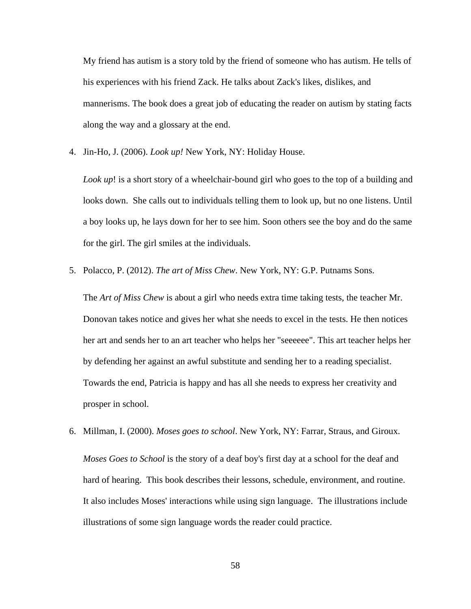My friend has autism is a story told by the friend of someone who has autism. He tells of his experiences with his friend Zack. He talks about Zack's likes, dislikes, and mannerisms. The book does a great job of educating the reader on autism by stating facts along the way and a glossary at the end.

4. Jin-Ho, J. (2006). *Look up!* New York, NY: Holiday House.

*Look up*! is a short story of a wheelchair-bound girl who goes to the top of a building and looks down. She calls out to individuals telling them to look up, but no one listens. Until a boy looks up, he lays down for her to see him. Soon others see the boy and do the same for the girl. The girl smiles at the individuals.

5. Polacco, P. (2012). *The art of Miss Chew*. New York, NY: G.P. Putnams Sons.

The *Art of Miss Chew* is about a girl who needs extra time taking tests, the teacher Mr. Donovan takes notice and gives her what she needs to excel in the tests. He then notices her art and sends her to an art teacher who helps her "seeeeee". This art teacher helps her by defending her against an awful substitute and sending her to a reading specialist. Towards the end, Patricia is happy and has all she needs to express her creativity and prosper in school.

6. Millman, I. (2000). *Moses goes to school*. New York, NY: Farrar, Straus, and Giroux.

*Moses Goes to School* is the story of a deaf boy's first day at a school for the deaf and hard of hearing. This book describes their lessons, schedule, environment, and routine. It also includes Moses' interactions while using sign language. The illustrations include illustrations of some sign language words the reader could practice.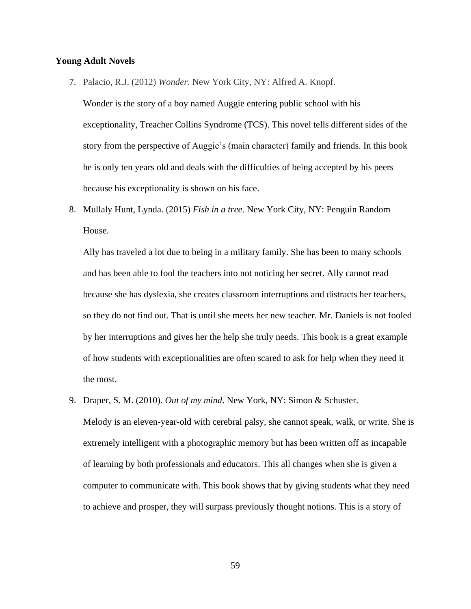#### **Young Adult Novels**

7. Palacio, R.J. (2012) *Wonder*. New York City, NY: Alfred A. Knopf.

Wonder is the story of a boy named Auggie entering public school with his exceptionality, Treacher Collins Syndrome (TCS). This novel tells different sides of the story from the perspective of Auggie's (main character) family and friends. In this book he is only ten years old and deals with the difficulties of being accepted by his peers because his exceptionality is shown on his face.

8. Mullaly Hunt, Lynda. (2015) *Fish in a tree*. New York City, NY: Penguin Random House.

Ally has traveled a lot due to being in a military family. She has been to many schools and has been able to fool the teachers into not noticing her secret. Ally cannot read because she has dyslexia, she creates classroom interruptions and distracts her teachers, so they do not find out. That is until she meets her new teacher. Mr. Daniels is not fooled by her interruptions and gives her the help she truly needs. This book is a great example of how students with exceptionalities are often scared to ask for help when they need it the most.

9. Draper, S. M. (2010). *Out of my mind*. New York, NY: Simon & Schuster.

Melody is an eleven-year-old with cerebral palsy, she cannot speak, walk, or write. She is extremely intelligent with a photographic memory but has been written off as incapable of learning by both professionals and educators. This all changes when she is given a computer to communicate with. This book shows that by giving students what they need to achieve and prosper, they will surpass previously thought notions. This is a story of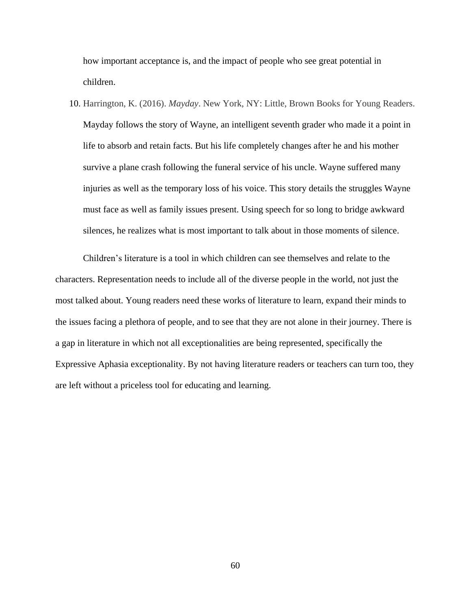how important acceptance is, and the impact of people who see great potential in children.

10. Harrington, K. (2016). *Mayday*. New York, NY: Little, Brown Books for Young Readers. Mayday follows the story of Wayne, an intelligent seventh grader who made it a point in life to absorb and retain facts. But his life completely changes after he and his mother survive a plane crash following the funeral service of his uncle. Wayne suffered many injuries as well as the temporary loss of his voice. This story details the struggles Wayne must face as well as family issues present. Using speech for so long to bridge awkward silences, he realizes what is most important to talk about in those moments of silence.

Children's literature is a tool in which children can see themselves and relate to the characters. Representation needs to include all of the diverse people in the world, not just the most talked about. Young readers need these works of literature to learn, expand their minds to the issues facing a plethora of people, and to see that they are not alone in their journey. There is a gap in literature in which not all exceptionalities are being represented, specifically the Expressive Aphasia exceptionality. By not having literature readers or teachers can turn too, they are left without a priceless tool for educating and learning.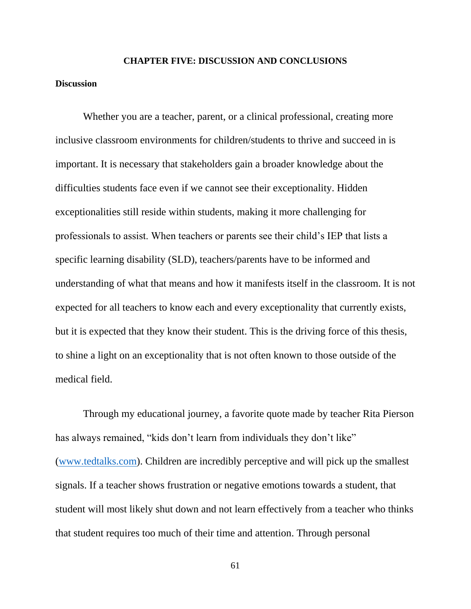# **CHAPTER FIVE: DISCUSSION AND CONCLUSIONS**

## **Discussion**

Whether you are a teacher, parent, or a clinical professional, creating more inclusive classroom environments for children/students to thrive and succeed in is important. It is necessary that stakeholders gain a broader knowledge about the difficulties students face even if we cannot see their exceptionality. Hidden exceptionalities still reside within students, making it more challenging for professionals to assist. When teachers or parents see their child's IEP that lists a specific learning disability (SLD), teachers/parents have to be informed and understanding of what that means and how it manifests itself in the classroom. It is not expected for all teachers to know each and every exceptionality that currently exists, but it is expected that they know their student. This is the driving force of this thesis, to shine a light on an exceptionality that is not often known to those outside of the medical field.

Through my educational journey, a favorite quote made by teacher Rita Pierson has always remained, "kids don't learn from individuals they don't like" [\(www.tedtalks.com\)](http://www.tedtalks.com/). Children are incredibly perceptive and will pick up the smallest signals. If a teacher shows frustration or negative emotions towards a student, that student will most likely shut down and not learn effectively from a teacher who thinks that student requires too much of their time and attention. Through personal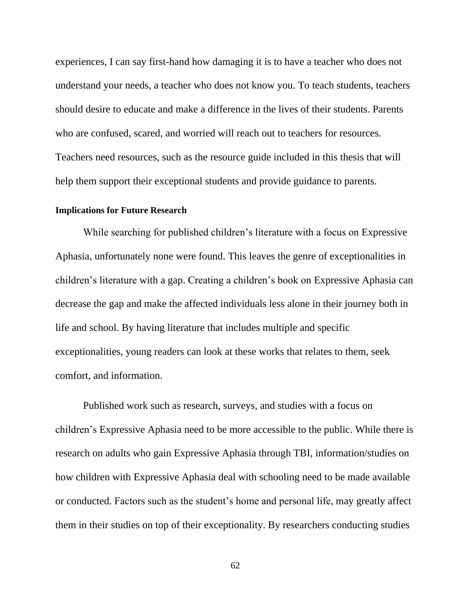experiences, I can say first-hand how damaging it is to have a teacher who does not understand your needs, a teacher who does not know you. To teach students, teachers should desire to educate and make a difference in the lives of their students. Parents who are confused, scared, and worried will reach out to teachers for resources. Teachers need resources, such as the resource guide included in this thesis that will help them support their exceptional students and provide guidance to parents.

# **Implications for Future Research**

While searching for published children's literature with a focus on Expressive Aphasia, unfortunately none were found. This leaves the genre of exceptionalities in children's literature with a gap. Creating a children's book on Expressive Aphasia can decrease the gap and make the affected individuals less alone in their journey both in life and school. By having literature that includes multiple and specific exceptionalities, young readers can look at these works that relates to them, seek comfort, and information.

Published work such as research, surveys, and studies with a focus on children's Expressive Aphasia need to be more accessible to the public. While there is research on adults who gain Expressive Aphasia through TBI, information/studies on how children with Expressive Aphasia deal with schooling need to be made available or conducted. Factors such as the student's home and personal life, may greatly affect them in their studies on top of their exceptionality. By researchers conducting studies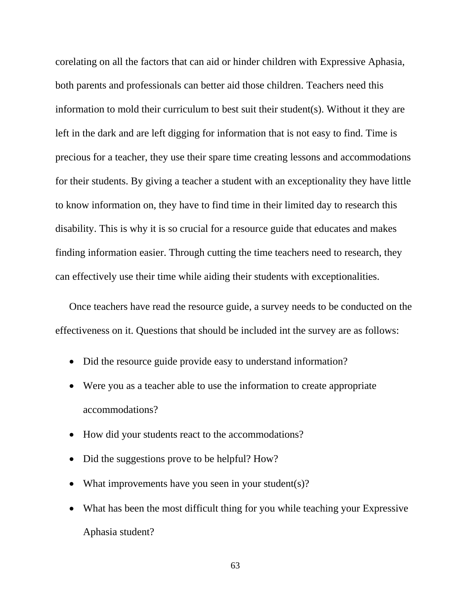corelating on all the factors that can aid or hinder children with Expressive Aphasia, both parents and professionals can better aid those children. Teachers need this information to mold their curriculum to best suit their student(s). Without it they are left in the dark and are left digging for information that is not easy to find. Time is precious for a teacher, they use their spare time creating lessons and accommodations for their students. By giving a teacher a student with an exceptionality they have little to know information on, they have to find time in their limited day to research this disability. This is why it is so crucial for a resource guide that educates and makes finding information easier. Through cutting the time teachers need to research, they can effectively use their time while aiding their students with exceptionalities.

Once teachers have read the resource guide, a survey needs to be conducted on the effectiveness on it. Questions that should be included int the survey are as follows:

- Did the resource guide provide easy to understand information?
- Were you as a teacher able to use the information to create appropriate accommodations?
- How did your students react to the accommodations?
- Did the suggestions prove to be helpful? How?
- What improvements have you seen in your student(s)?
- What has been the most difficult thing for you while teaching your Expressive Aphasia student?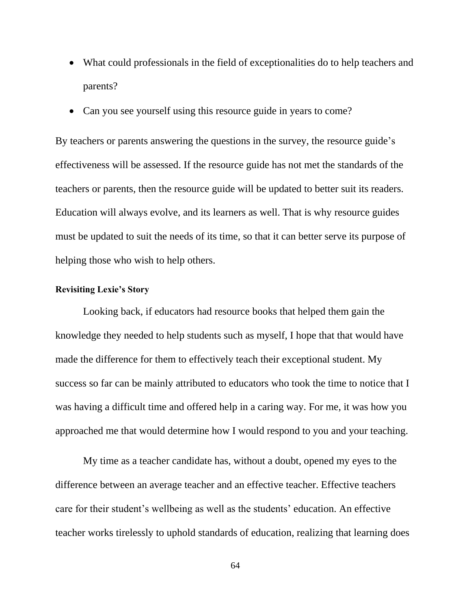- What could professionals in the field of exceptionalities do to help teachers and parents?
- Can you see yourself using this resource guide in years to come?

By teachers or parents answering the questions in the survey, the resource guide's effectiveness will be assessed. If the resource guide has not met the standards of the teachers or parents, then the resource guide will be updated to better suit its readers. Education will always evolve, and its learners as well. That is why resource guides must be updated to suit the needs of its time, so that it can better serve its purpose of helping those who wish to help others.

# **Revisiting Lexie's Story**

Looking back, if educators had resource books that helped them gain the knowledge they needed to help students such as myself, I hope that that would have made the difference for them to effectively teach their exceptional student. My success so far can be mainly attributed to educators who took the time to notice that I was having a difficult time and offered help in a caring way. For me, it was how you approached me that would determine how I would respond to you and your teaching.

My time as a teacher candidate has, without a doubt, opened my eyes to the difference between an average teacher and an effective teacher. Effective teachers care for their student's wellbeing as well as the students' education. An effective teacher works tirelessly to uphold standards of education, realizing that learning does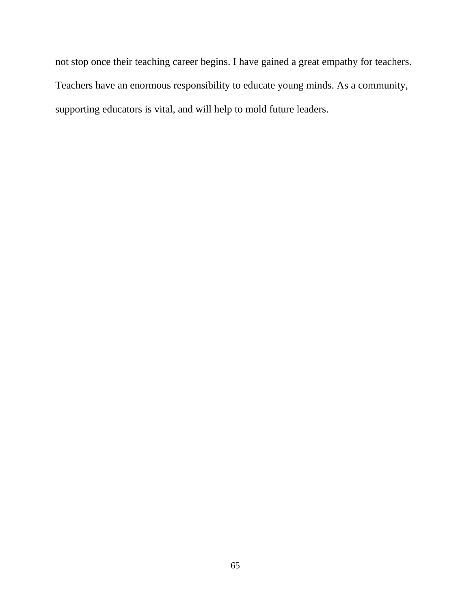not stop once their teaching career begins. I have gained a great empathy for teachers. Teachers have an enormous responsibility to educate young minds. As a community, supporting educators is vital, and will help to mold future leaders.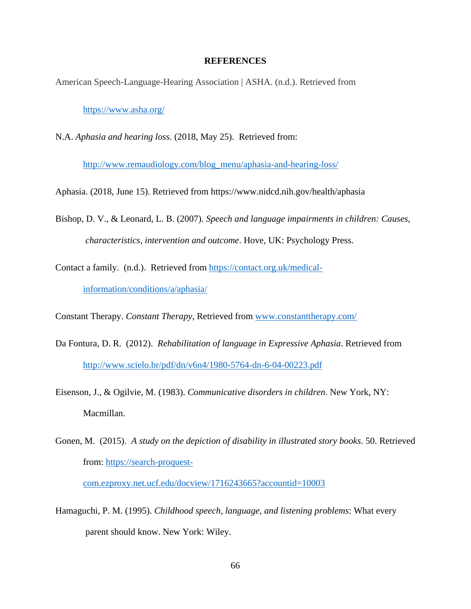#### **REFERENCES**

American Speech-Language-Hearing Association | ASHA. (n.d.). Retrieved from

<https://www.asha.org/>

N.A. *Aphasia and hearing loss*. (2018, May 25). Retrieved from:

[http://www.remaudiology.com/blog\\_menu/aphasia-and-hearing-loss/](http://www.remaudiology.com/blog_menu/aphasia-and-hearing-loss/)

Aphasia. (2018, June 15). Retrieved from<https://www.nidcd.nih.gov/health/aphasia>

- Bishop, D. V., & Leonard, L. B. (2007). *Speech and language impairments in children: Causes, characteristics, intervention and outcome*. Hove, UK: Psychology Press.
- Contact a family. (n.d.). Retrieved from [https://contact.org.uk/medical](https://contact.org.uk/medical-information/conditions/a/aphasia/)[information/conditions/a/aphasia/](https://contact.org.uk/medical-information/conditions/a/aphasia/)

Constant Therapy. *Constant Therapy*, Retrieved from [www.constanttherapy.com/](http://www.constanttherapy.com/)

- Da Fontura, D. R. (2012). *Rehabilitation of language in Expressive Aphasia*. Retrieved from <http://www.scielo.br/pdf/dn/v6n4/1980-5764-dn-6-04-00223.pdf>
- Eisenson, J., & Ogilvie, M. (1983). *Communicative disorders in children*. New York, NY: Macmillan.
- Gonen, M. (2015). *A study on the depiction of disability in illustrated story books*. 50. Retrieved from: [https://search-proquest-](https://search-proquest-com.ezproxy.net.ucf.edu/docview/1716243665?accountid=10003)

[com.ezproxy.net.ucf.edu/docview/1716243665?accountid=10003](https://search-proquest-com.ezproxy.net.ucf.edu/docview/1716243665?accountid=10003)

Hamaguchi, P. M. (1995). *Childhood speech, language, and listening problems*: What every parent should know. New York: Wiley.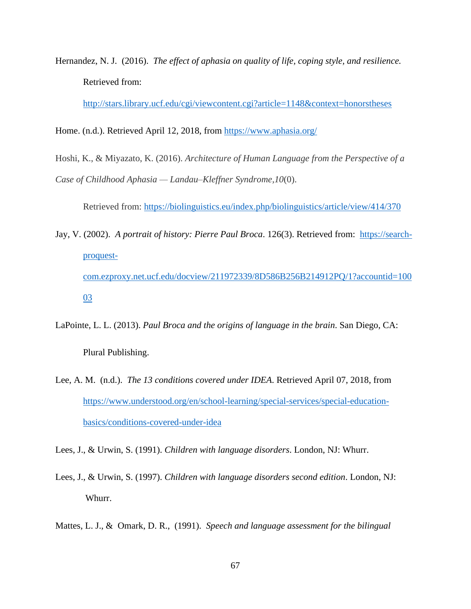Hernandez, N. J. (2016). *The effect of aphasia on quality of life, coping style, and resilience.*  Retrieved from:

<http://stars.library.ucf.edu/cgi/viewcontent.cgi?article=1148&context=honorstheses>

Home. (n.d.). Retrieved April 12, 2018, from<https://www.aphasia.org/>

Hoshi, K., & Miyazato, K. (2016). *Architecture of Human Language from the Perspective of a Case of Childhood Aphasia — Landau–Kleffner Syndrome,10*(0).

Retrieved from:<https://biolinguistics.eu/index.php/biolinguistics/article/view/414/370>

- Jay, V. (2002). *A portrait of history: Pierre Paul Broca*. 126(3). Retrieved from: [https://search](https://search-proquest-com.ezproxy.net.ucf.edu/docview/211972339/8D586B256B214912PQ/1?accountid=10003)[proquest](https://search-proquest-com.ezproxy.net.ucf.edu/docview/211972339/8D586B256B214912PQ/1?accountid=10003)[com.ezproxy.net.ucf.edu/docview/211972339/8D586B256B214912PQ/1?accountid=100](https://search-proquest-com.ezproxy.net.ucf.edu/docview/211972339/8D586B256B214912PQ/1?accountid=10003) [03](https://search-proquest-com.ezproxy.net.ucf.edu/docview/211972339/8D586B256B214912PQ/1?accountid=10003)
- LaPointe, L. L. (2013). *Paul Broca and the origins of language in the brain*. San Diego, CA: Plural Publishing.
- Lee, A. M. (n.d.). *The 13 conditions covered under IDEA*. Retrieved April 07, 2018, from [https://www.understood.org/en/school-learning/special-services/special-education](https://www.understood.org/en/school-learning/special-services/special-education-basics/conditions-covered-under-idea)[basics/conditions-covered-under-idea](https://www.understood.org/en/school-learning/special-services/special-education-basics/conditions-covered-under-idea)

Lees, J., & Urwin, S. (1991). *Children with language disorders*. London, NJ: Whurr.

- Lees, J., & Urwin, S. (1997). *Children with language disorders second edition*. London, NJ: Whurr.
- Mattes, L. J., & Omark, D. R., (1991). *Speech and language assessment for the bilingual*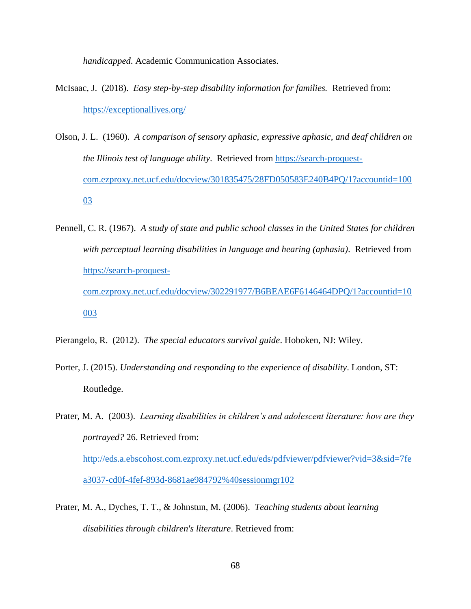*handicapped*. Academic Communication Associates.

- McIsaac, J. (2018). *Easy step-by-step disability information for families.* Retrieved from: <https://exceptionallives.org/>
- Olson, J. L. (1960). *A comparison of sensory aphasic, expressive aphasic, and deaf children on the Illinois test of language ability*. Retrieved from [https://search-proquest](https://search-proquest-com.ezproxy.net.ucf.edu/docview/301835475/28FD050583E240B4PQ/1?accountid=10003)[com.ezproxy.net.ucf.edu/docview/301835475/28FD050583E240B4PQ/1?accountid=100](https://search-proquest-com.ezproxy.net.ucf.edu/docview/301835475/28FD050583E240B4PQ/1?accountid=10003) [03](https://search-proquest-com.ezproxy.net.ucf.edu/docview/301835475/28FD050583E240B4PQ/1?accountid=10003)
- Pennell, C. R. (1967). *A study of state and public school classes in the United States for children with perceptual learning disabilities in language and hearing (aphasia)*. Retrieved from [https://search-proquest](https://search-proquest-com.ezproxy.net.ucf.edu/docview/302291977/B6BEAE6F6146464DPQ/1?accountid=10003)[com.ezproxy.net.ucf.edu/docview/302291977/B6BEAE6F6146464DPQ/1?accountid=10](https://search-proquest-com.ezproxy.net.ucf.edu/docview/302291977/B6BEAE6F6146464DPQ/1?accountid=10003)

#### [003](https://search-proquest-com.ezproxy.net.ucf.edu/docview/302291977/B6BEAE6F6146464DPQ/1?accountid=10003)

Pierangelo, R. (2012). *The special educators survival guide*. Hoboken, NJ: Wiley.

Porter, J. (2015). *Understanding and responding to the experience of disability*. London, ST: Routledge.

Prater, M. A. (2003). *Learning disabilities in children's and adolescent literature: how are they portrayed?* 26. Retrieved from: [http://eds.a.ebscohost.com.ezproxy.net.ucf.edu/eds/pdfviewer/pdfviewer?vid=3&sid=7fe](http://eds.a.ebscohost.com.ezproxy.net.ucf.edu/eds/pdfviewer/pdfviewer?vid=3&sid=7fea3037-cd0f-4fef-893d-8681ae984792%40sessionmgr102) [a3037-cd0f-4fef-893d-8681ae984792%40sessionmgr102](http://eds.a.ebscohost.com.ezproxy.net.ucf.edu/eds/pdfviewer/pdfviewer?vid=3&sid=7fea3037-cd0f-4fef-893d-8681ae984792%40sessionmgr102)

Prater, M. A., Dyches, T. T., & Johnstun, M. (2006). *Teaching students about learning disabilities through children's literature*. Retrieved from: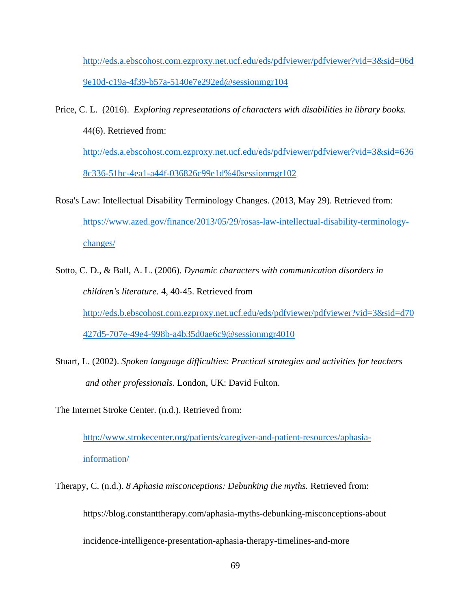[http://eds.a.ebscohost.com.ezproxy.net.ucf.edu/eds/pdfviewer/pdfviewer?vid=3&sid=06d](http://eds.a.ebscohost.com.ezproxy.net.ucf.edu/eds/pdfviewer/pdfviewer?vid=3&sid=06d9e10d-c19a-4f39-b57a-5140e7e292ed@sessionmgr104) [9e10d-c19a-4f39-b57a-5140e7e292ed@sessionmgr104](http://eds.a.ebscohost.com.ezproxy.net.ucf.edu/eds/pdfviewer/pdfviewer?vid=3&sid=06d9e10d-c19a-4f39-b57a-5140e7e292ed@sessionmgr104)

- Price, C. L. (2016). *Exploring representations of characters with disabilities in library books.* 44(6). Retrieved from: [http://eds.a.ebscohost.com.ezproxy.net.ucf.edu/eds/pdfviewer/pdfviewer?vid=3&sid=636](http://eds.a.ebscohost.com.ezproxy.net.ucf.edu/eds/pdfviewer/pdfviewer?vid=3&sid=6368c336-51bc-4ea1-a44f-036826c99e1d%40sessionmgr102) [8c336-51bc-4ea1-a44f-036826c99e1d%40sessionmgr102](http://eds.a.ebscohost.com.ezproxy.net.ucf.edu/eds/pdfviewer/pdfviewer?vid=3&sid=6368c336-51bc-4ea1-a44f-036826c99e1d%40sessionmgr102)
- Rosa's Law: Intellectual Disability Terminology Changes. (2013, May 29). Retrieved from: [https://www.azed.gov/finance/2013/05/29/rosas-law-intellectual-disability-terminology](https://www.azed.gov/finance/2013/05/29/rosas-law-intellectual-disability-terminology-changes/)[changes/](https://www.azed.gov/finance/2013/05/29/rosas-law-intellectual-disability-terminology-changes/)
- Sotto, C. D., & Ball, A. L. (2006). *Dynamic characters with communication disorders in children's literature.* 4, 40-45. Retrieved from [http://eds.b.ebscohost.com.ezproxy.net.ucf.edu/eds/pdfviewer/pdfviewer?vid=3&sid=d70](http://eds.b.ebscohost.com.ezproxy.net.ucf.edu/eds/pdfviewer/pdfviewer?vid=3&sid=d70427d5-707e-49e4-998b-a4b35d0ae6c9@sessionmgr4010) [427d5-707e-49e4-998b-a4b35d0ae6c9@sessionmgr4010](http://eds.b.ebscohost.com.ezproxy.net.ucf.edu/eds/pdfviewer/pdfviewer?vid=3&sid=d70427d5-707e-49e4-998b-a4b35d0ae6c9@sessionmgr4010)
- Stuart, L. (2002). *Spoken language difficulties: Practical strategies and activities for teachers and other professionals*. London, UK: David Fulton.
- The Internet Stroke Center. (n.d.). Retrieved from:

[http://www.strokecenter.org/patients/caregiver-and-patient-resources/aphasia](http://www.strokecenter.org/patients/caregiver-and-patient-resources/aphasia-information/)[information/](http://www.strokecenter.org/patients/caregiver-and-patient-resources/aphasia-information/)

Therapy, C. (n.d.). *8 Aphasia misconceptions: Debunking the myths.* Retrieved from: https://blog.constanttherapy.com/aphasia-myths-debunking-misconceptions-about incidence-intelligence-presentation-aphasia-therapy-timelines-and-more